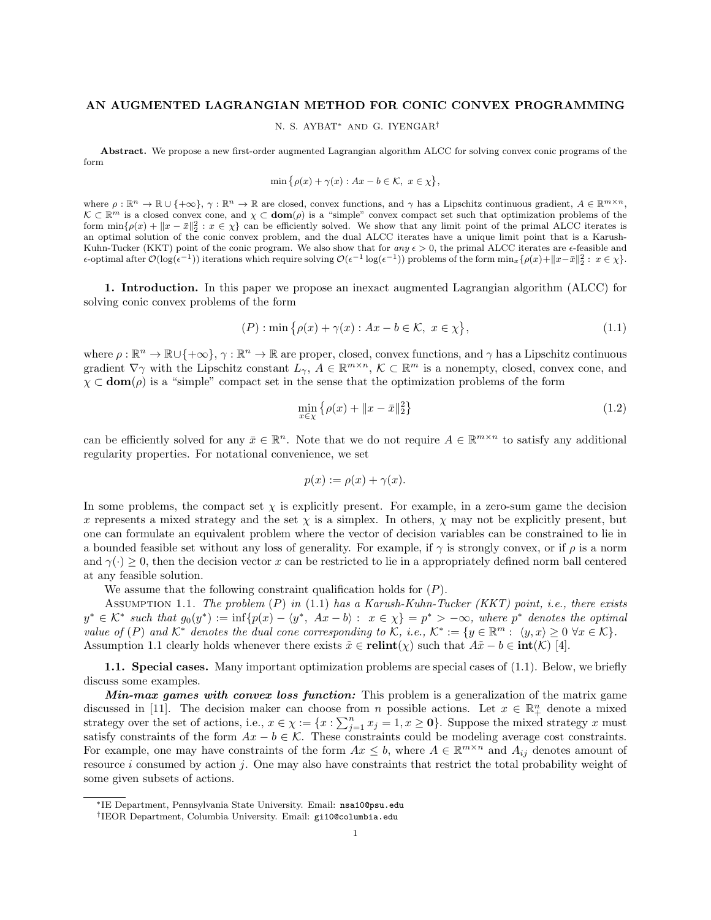# AN AUGMENTED LAGRANGIAN METHOD FOR CONIC CONVEX PROGRAMMING

N. S. AYBAT<sup>∗</sup> AND G. IYENGAR†

Abstract. We propose a new first-order augmented Lagrangian algorithm ALCC for solving convex conic programs of the form

$$
\min \big\{ \rho(x) + \gamma(x) : Ax - b \in \mathcal{K}, \ x \in \chi \big\},\
$$

where  $\rho : \mathbb{R}^n \to \mathbb{R} \cup \{+\infty\}, \gamma : \mathbb{R}^n \to \mathbb{R}$  are closed, convex functions, and  $\gamma$  has a Lipschitz continuous gradient,  $A \in \mathbb{R}^{m \times n}$ ,  $\mathcal{K} \subset \mathbb{R}^m$  is a closed convex cone, and  $\chi \subset \text{dom}(\rho)$  is a "simple" convex compact set such that optimization problems of the form  $\min\{\rho(x) + ||x - \bar{x}||_2^2 : x \in \chi\}$  can be efficiently solved. We show that any limit point of the primal ALCC iterates is an optimal solution of the conic convex problem, and the dual ALCC iterates have a unique limit point that is a Karush-Kuhn-Tucker (KKT) point of the conic program. We also show that for any  $\epsilon > 0$ , the primal ALCC iterates are  $\epsilon$ -feasible and  $\epsilon$ -optimal after  $\mathcal{O}(\log(\epsilon^{-1}))$  iterations which require solving  $\mathcal{O}(\epsilon^{-1} \log(\epsilon^{-1}))$  problems of the form min<sub>x</sub>{ρ(x)+||x− $\bar{x}$ ||2 : x ∈ χ}.

1. Introduction. In this paper we propose an inexact augmented Lagrangian algorithm (ALCC) for solving conic convex problems of the form

$$
(P): \min\left\{\rho(x) + \gamma(x) : Ax - b \in \mathcal{K}, \ x \in \chi\right\},\tag{1.1}
$$

where  $\rho : \mathbb{R}^n \to \mathbb{R} \cup \{+\infty\}, \gamma : \mathbb{R}^n \to \mathbb{R}$  are proper, closed, convex functions, and  $\gamma$  has a Lipschitz continuous gradient  $\nabla \gamma$  with the Lipschitz constant  $L_{\gamma}$ ,  $A \in \mathbb{R}^{m \times n}$ ,  $\mathcal{K} \subset \mathbb{R}^m$  is a nonempty, closed, convex cone, and  $\chi \subset \text{dom}(\rho)$  is a "simple" compact set in the sense that the optimization problems of the form

$$
\min_{x \in \chi} \left\{ \rho(x) + \|x - \bar{x}\|_2^2 \right\} \tag{1.2}
$$

can be efficiently solved for any  $\bar{x} \in \mathbb{R}^n$ . Note that we do not require  $A \in \mathbb{R}^{m \times n}$  to satisfy any additional regularity properties. For notational convenience, we set

$$
p(x) := \rho(x) + \gamma(x).
$$

In some problems, the compact set  $\chi$  is explicitly present. For example, in a zero-sum game the decision x represents a mixed strategy and the set  $\chi$  is a simplex. In others,  $\chi$  may not be explicitly present, but one can formulate an equivalent problem where the vector of decision variables can be constrained to lie in a bounded feasible set without any loss of generality. For example, if  $\gamma$  is strongly convex, or if  $\rho$  is a norm and  $\gamma(\cdot) \geq 0$ , then the decision vector x can be restricted to lie in a appropriately defined norm ball centered at any feasible solution.

We assume that the following constraint qualification holds for  $(P)$ .

ASSUMPTION 1.1. The problem  $(P)$  in (1.1) has a Karush-Kuhn-Tucker (KKT) point, i.e., there exists  $y^* \in \mathcal{K}^*$  such that  $g_0(y^*) := \inf \{p(x) - \langle y^*, Ax - b \rangle : x \in \chi\} = p^* > -\infty$ , where  $p^*$  denotes the optimal value of (P) and  $K^*$  denotes the dual cone corresponding to K, i.e.,  $K^* := \{y \in \mathbb{R}^m : \langle y, x \rangle \geq 0 \ \forall x \in \mathcal{K}\}.$ Assumption 1.1 clearly holds whenever there exists  $\tilde{x} \in \text{relint}(\chi)$  such that  $A\tilde{x} - b \in \text{int}(\mathcal{K})$  [4].

1.1. Special cases. Many important optimization problems are special cases of (1.1). Below, we briefly discuss some examples.

Min-max games with convex loss function: This problem is a generalization of the matrix game discussed in [11]. The decision maker can choose from n possible actions. Let  $x \in \mathbb{R}^n_+$  denote a mixed strategy over the set of actions, i.e.,  $x \in \chi := \{x : \sum_{j=1}^{n} x_j = 1, x \ge 0\}$ . Suppose the mixed strategy x must satisfy constraints of the form  $Ax - b \in \mathcal{K}$ . These constraints could be modeling average cost constraints. For example, one may have constraints of the form  $Ax \leq b$ , where  $A \in \mathbb{R}^{m \times n}$  and  $A_{ij}$  denotes amount of resource i consumed by action j. One may also have constraints that restrict the total probability weight of some given subsets of actions.

<sup>∗</sup>IE Department, Pennsylvania State University. Email: nsa10@psu.edu

<sup>†</sup> IEOR Department, Columbia University. Email: gi10@columbia.edu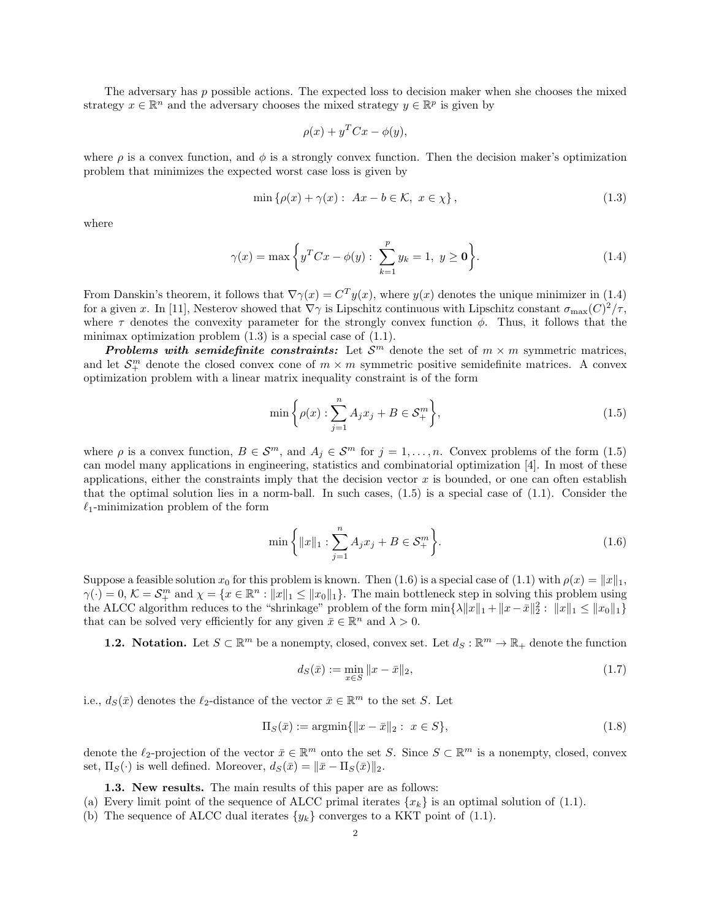The adversary has p possible actions. The expected loss to decision maker when she chooses the mixed strategy  $x \in \mathbb{R}^n$  and the adversary chooses the mixed strategy  $y \in \mathbb{R}^p$  is given by

$$
\rho(x) + y^T C x - \phi(y),
$$

where  $\rho$  is a convex function, and  $\phi$  is a strongly convex function. Then the decision maker's optimization problem that minimizes the expected worst case loss is given by

$$
\min \left\{ \rho(x) + \gamma(x) : Ax - b \in \mathcal{K}, x \in \chi \right\},\tag{1.3}
$$

where

$$
\gamma(x) = \max\left\{y^T C x - \phi(y) : \sum_{k=1}^p y_k = 1, \ y \ge \mathbf{0}\right\}.
$$
 (1.4)

From Danskin's theorem, it follows that  $\nabla \gamma(x) = C^T y(x)$ , where  $y(x)$  denotes the unique minimizer in (1.4) for a given x. In [11], Nesterov showed that  $\nabla \gamma$  is Lipschitz continuous with Lipschitz constant  $\sigma_{\max}(C)^2/\tau$ , where  $\tau$  denotes the convexity parameter for the strongly convex function  $\phi$ . Thus, it follows that the minimax optimization problem  $(1.3)$  is a special case of  $(1.1)$ .

**Problems with semidefinite constraints:** Let  $S<sup>m</sup>$  denote the set of  $m \times m$  symmetric matrices, and let  $\mathcal{S}_{+}^{m}$  denote the closed convex cone of  $m \times m$  symmetric positive semidefinite matrices. A convex optimization problem with a linear matrix inequality constraint is of the form

$$
\min\left\{\rho(x): \sum_{j=1}^{n} A_j x_j + B \in \mathcal{S}_+^m \right\},\tag{1.5}
$$

where  $\rho$  is a convex function,  $B \in \mathcal{S}^m$ , and  $A_j \in \mathcal{S}^m$  for  $j = 1, \ldots, n$ . Convex problems of the form (1.5) can model many applications in engineering, statistics and combinatorial optimization [4]. In most of these applications, either the constraints imply that the decision vector  $x$  is bounded, or one can often establish that the optimal solution lies in a norm-ball. In such cases,  $(1.5)$  is a special case of  $(1.1)$ . Consider the  $\ell_1$ -minimization problem of the form

$$
\min\left\{ \|x\|_1 : \sum_{j=1}^n A_j x_j + B \in \mathcal{S}_+^m \right\}.
$$
\n(1.6)

Suppose a feasible solution  $x_0$  for this problem is known. Then (1.6) is a special case of (1.1) with  $\rho(x) = ||x||_1$ ,  $\gamma(\cdot) = 0, \, \mathcal{K} = \mathcal{S}_{+}^{m}$  and  $\chi = \{x \in \mathbb{R}^{n} : ||x||_{1} \leq ||x_{0}||_{1}\}.$  The main bottleneck step in solving this problem using the ALCC algorithm reduces to the "shrinkage" problem of the form  $\min\{\lambda ||x||_1 + ||x-\bar{x}||_2^2 : ||x||_1 \le ||x_0||_1\}$ that can be solved very efficiently for any given  $\bar{x} \in \mathbb{R}^n$  and  $\lambda > 0$ .

**1.2.** Notation. Let  $S \subset \mathbb{R}^m$  be a nonempty, closed, convex set. Let  $d_S : \mathbb{R}^m \to \mathbb{R}_+$  denote the function

$$
d_S(\bar{x}) := \min_{x \in S} \|x - \bar{x}\|_2, \tag{1.7}
$$

i.e.,  $d_S(\bar{x})$  denotes the  $\ell_2$ -distance of the vector  $\bar{x} \in \mathbb{R}^m$  to the set S. Let

$$
\Pi_S(\bar{x}) := \operatorname{argmin} \{ \|x - \bar{x}\|_2 : \ x \in S \},\tag{1.8}
$$

denote the  $\ell_2$ -projection of the vector  $\bar{x} \in \mathbb{R}^m$  onto the set S. Since  $S \subset \mathbb{R}^m$  is a nonempty, closed, convex set,  $\Pi_S(\cdot)$  is well defined. Moreover,  $d_S(\bar{x}) = ||\bar{x} - \Pi_S(\bar{x})||_2$ .

1.3. New results. The main results of this paper are as follows:

- (a) Every limit point of the sequence of ALCC primal iterates  $\{x_k\}$  is an optimal solution of (1.1).
- (b) The sequence of ALCC dual iterates  $\{y_k\}$  converges to a KKT point of (1.1).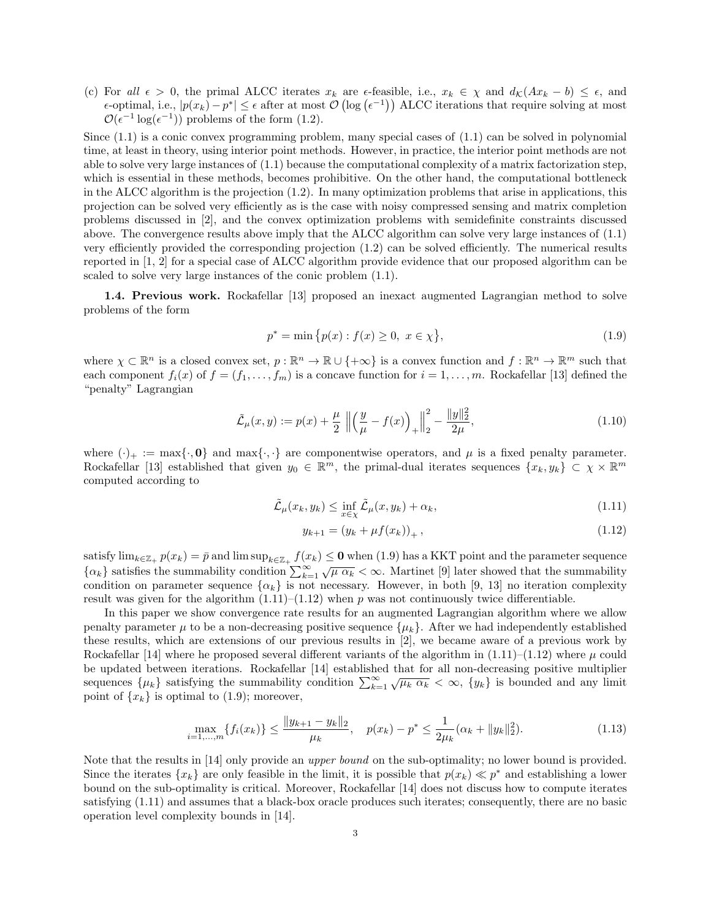(c) For all  $\epsilon > 0$ , the primal ALCC iterates  $x_k$  are  $\epsilon$ -feasible, i.e.,  $x_k \in \chi$  and  $d_K(Ax_k - b) \leq \epsilon$ , and  $ε$ -optimal, i.e.,  $|p(x_k) - p^*| ≤ ε$  after at most  $\mathcal{O}(\log(\epsilon^{-1}))$  ALCC iterations that require solving at most  $\mathcal{O}(\epsilon^{-1} \log(\epsilon^{-1}))$  problems of the form (1.2).

Since  $(1.1)$  is a conic convex programming problem, many special cases of  $(1.1)$  can be solved in polynomial time, at least in theory, using interior point methods. However, in practice, the interior point methods are not able to solve very large instances of (1.1) because the computational complexity of a matrix factorization step, which is essential in these methods, becomes prohibitive. On the other hand, the computational bottleneck in the ALCC algorithm is the projection (1.2). In many optimization problems that arise in applications, this projection can be solved very efficiently as is the case with noisy compressed sensing and matrix completion problems discussed in [2], and the convex optimization problems with semidefinite constraints discussed above. The convergence results above imply that the ALCC algorithm can solve very large instances of (1.1) very efficiently provided the corresponding projection (1.2) can be solved efficiently. The numerical results reported in [1, 2] for a special case of ALCC algorithm provide evidence that our proposed algorithm can be scaled to solve very large instances of the conic problem (1.1).

1.4. Previous work. Rockafellar [13] proposed an inexact augmented Lagrangian method to solve problems of the form

$$
p^* = \min\{p(x) : f(x) \ge 0, \ x \in \chi\},\tag{1.9}
$$

where  $\chi \subset \mathbb{R}^n$  is a closed convex set,  $p : \mathbb{R}^n \to \mathbb{R} \cup \{+\infty\}$  is a convex function and  $f : \mathbb{R}^n \to \mathbb{R}^m$  such that each component  $f_i(x)$  of  $f = (f_1, \ldots, f_m)$  is a concave function for  $i = 1, \ldots, m$ . Rockafellar [13] defined the "penalty" Lagrangian

$$
\tilde{\mathcal{L}}_{\mu}(x,y) := p(x) + \frac{\mu}{2} \left\| \left( \frac{y}{\mu} - f(x) \right)_{+} \right\|_{2}^{2} - \frac{\|y\|_{2}^{2}}{2\mu},\tag{1.10}
$$

where  $(\cdot)_+ := \max{\{\cdot, 0\}}$  and  $\max{\{\cdot, \cdot\}}$  are componentwise operators, and  $\mu$  is a fixed penalty parameter. Rockafellar [13] established that given  $y_0 \in \mathbb{R}^m$ , the primal-dual iterates sequences  $\{x_k, y_k\} \subset \chi \times \mathbb{R}^m$ computed according to

$$
\tilde{\mathcal{L}}_{\mu}(x_k, y_k) \le \inf_{x \in \chi} \tilde{\mathcal{L}}_{\mu}(x, y_k) + \alpha_k,
$$
\n(1.11)

$$
y_{k+1} = (y_k + \mu f(x_k))_+, \qquad (1.12)
$$

satisfy  $\lim_{k\in\mathbb{Z}_+} p(x_k) = \bar{p}$  and  $\limsup_{k\in\mathbb{Z}_+} f(x_k) \leq 0$  when  $(1.9)$  has a KKT point and the parameter sequence  ${\alpha_k}$  satisfies the summability condition  $\sum_{k=1}^{\infty} \sqrt{\mu \alpha_k} < \infty$ . Martinet [9] later showed that the summability condition on parameter sequence  $\{\alpha_k\}$  is not necessary. However, in both [9, 13] no iteration complexity result was given for the algorithm  $(1.11)$ – $(1.12)$  when p was not continuously twice differentiable.

In this paper we show convergence rate results for an augmented Lagrangian algorithm where we allow penalty parameter  $\mu$  to be a non-decreasing positive sequence  $\{\mu_k\}$ . After we had independently established these results, which are extensions of our previous results in [2], we became aware of a previous work by Rockafellar [14] where he proposed several different variants of the algorithm in  $(1.11)$ – $(1.12)$  where  $\mu$  could be updated between iterations. Rockafellar [14] established that for all non-decreasing positive multiplier sequences  $\{\mu_k\}$  satisfying the summability condition  $\sum_{k=1}^{\infty} \sqrt{\mu_k \alpha_k} < \infty$ ,  $\{y_k\}$  is bounded and any limit point of  $\{x_k\}$  is optimal to (1.9); moreover,

$$
\max_{i=1,\dots,m} \{f_i(x_k)\} \le \frac{\|y_{k+1} - y_k\|_2}{\mu_k}, \quad p(x_k) - p^* \le \frac{1}{2\mu_k} (\alpha_k + \|y_k\|_2^2). \tag{1.13}
$$

Note that the results in [14] only provide an *upper bound* on the sub-optimality; no lower bound is provided. Since the iterates  $\{x_k\}$  are only feasible in the limit, it is possible that  $p(x_k) \ll p^*$  and establishing a lower bound on the sub-optimality is critical. Moreover, Rockafellar [14] does not discuss how to compute iterates satisfying (1.11) and assumes that a black-box oracle produces such iterates; consequently, there are no basic operation level complexity bounds in [14].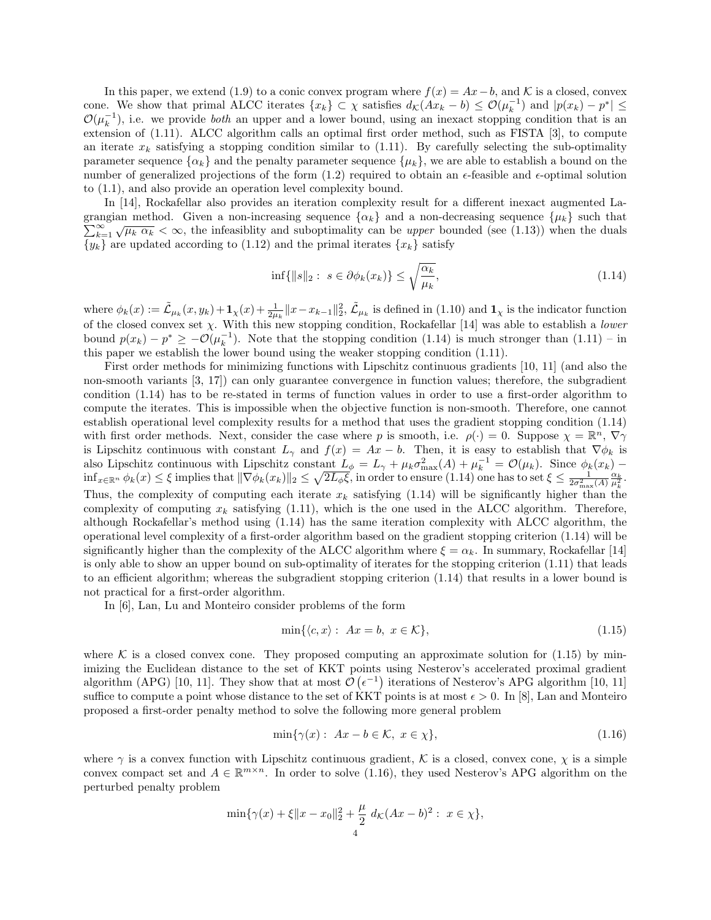In this paper, we extend (1.9) to a conic convex program where  $f(x) = Ax - b$ , and K is a closed, convex cone. We show that primal ALCC iterates  $\{x_k\} \subset \chi$  satisfies  $d_{\mathcal{K}}(Ax_k - b) \leq \mathcal{O}(\mu_k^{-1})$  and  $|p(x_k) - p^*| \leq$  $\mathcal{O}(\mu_k^{-1})$ , i.e. we provide *both* an upper and a lower bound, using an inexact stopping condition that is an extension of (1.11). ALCC algorithm calls an optimal first order method, such as FISTA [3], to compute an iterate  $x_k$  satisfying a stopping condition similar to (1.11). By carefully selecting the sub-optimality parameter sequence  $\{\alpha_k\}$  and the penalty parameter sequence  $\{\mu_k\}$ , we are able to establish a bound on the number of generalized projections of the form  $(1.2)$  required to obtain an  $\epsilon$ -feasible and  $\epsilon$ -optimal solution to (1.1), and also provide an operation level complexity bound.

In [14], Rockafellar also provides an iteration complexity result for a different inexact augmented La- $\sum_{k=1}^{\infty} \sqrt{\mu_k \alpha_k} < \infty$ , the infeasiblity and suboptimality can be *upper* bounded (see (1.13)) when the duals grangian method. Given a non-increasing sequence  $\{\alpha_k\}$  and a non-decreasing sequence  $\{\mu_k\}$  such that  ${y_k}$  are updated according to (1.12) and the primal iterates  ${x_k}$  satisfy

$$
\inf\{\|s\|_2: s \in \partial \phi_k(x_k)\} \le \sqrt{\frac{\alpha_k}{\mu_k}},\tag{1.14}
$$

where  $\phi_k(x) := \tilde{\mathcal{L}}_{\mu_k}(x, y_k) + \mathbf{1}_{\chi}(x) + \frac{1}{2\mu_k} ||x - x_{k-1}||_2^2$ ,  $\tilde{\mathcal{L}}_{\mu_k}$  is defined in (1.10) and  $\mathbf{1}_{\chi}$  is the indicator function of the closed convex set  $\chi$ . With this new stopping condition, Rockafellar [14] was able to establish a *lower* bound  $p(x_k) - p^* \ge -\mathcal{O}(\mu_k^{-1})$ . Note that the stopping condition (1.14) is much stronger than (1.11) – in this paper we establish the lower bound using the weaker stopping condition (1.11).

First order methods for minimizing functions with Lipschitz continuous gradients [10, 11] (and also the non-smooth variants [3, 17]) can only guarantee convergence in function values; therefore, the subgradient condition (1.14) has to be re-stated in terms of function values in order to use a first-order algorithm to compute the iterates. This is impossible when the objective function is non-smooth. Therefore, one cannot establish operational level complexity results for a method that uses the gradient stopping condition (1.14) with first order methods. Next, consider the case where p is smooth, i.e.  $\rho(\cdot) = 0$ . Suppose  $\chi = \mathbb{R}^n$ ,  $\nabla \gamma$ is Lipschitz continuous with constant  $L_{\gamma}$  and  $f(x) = Ax - b$ . Then, it is easy to establish that  $\nabla \phi_k$  is also Lipschitz continuous with Lipschitz constant  $L_{\phi} = L_{\gamma} + \mu_{k} \sigma_{\max}^{2}(A) + \mu_{k}^{-1} = \mathcal{O}(\mu_{k})$ . Since  $\phi_{k}(x_{k})$  –  $\inf_{x \in \mathbb{R}^n} \phi_k(x) \leq \xi$  implies that  $\|\nabla \phi_k(x_k)\|_2 \leq \sqrt{2L_{\phi}\xi}$ , in order to ensure (1.14) one has to set  $\xi \leq \frac{1}{2\sigma_{\max}^2(A)} \frac{\alpha_k}{\mu_k^2}$ . Thus, the complexity of computing each iterate  $x_k$  satisfying (1.14) will be significantly higher than the complexity of computing  $x_k$  satisfying (1.11), which is the one used in the ALCC algorithm. Therefore, although Rockafellar's method using (1.14) has the same iteration complexity with ALCC algorithm, the operational level complexity of a first-order algorithm based on the gradient stopping criterion (1.14) will be significantly higher than the complexity of the ALCC algorithm where  $\xi = \alpha_k$ . In summary, Rockafellar [14] is only able to show an upper bound on sub-optimality of iterates for the stopping criterion (1.11) that leads to an efficient algorithm; whereas the subgradient stopping criterion (1.14) that results in a lower bound is not practical for a first-order algorithm.

In [6], Lan, Lu and Monteiro consider problems of the form

$$
\min\{\langle c, x \rangle : Ax = b, x \in \mathcal{K}\},\tag{1.15}
$$

where K is a closed convex cone. They proposed computing an approximate solution for  $(1.15)$  by minimizing the Euclidean distance to the set of KKT points using Nesterov's accelerated proximal gradient algorithm (APG) [10, 11]. They show that at most  $\mathcal{O}(\epsilon^{-1})$  iterations of Nesterov's APG algorithm [10, 11] suffice to compute a point whose distance to the set of KKT points is at most  $\epsilon > 0$ . In [8], Lan and Monteiro proposed a first-order penalty method to solve the following more general problem

$$
\min\{\gamma(x): Ax - b \in \mathcal{K}, x \in \chi\},\tag{1.16}
$$

where  $\gamma$  is a convex function with Lipschitz continuous gradient, K is a closed, convex cone,  $\chi$  is a simple convex compact set and  $A \in \mathbb{R}^{m \times n}$ . In order to solve (1.16), they used Nesterov's APG algorithm on the perturbed penalty problem

$$
\min\{\gamma(x) + \xi \|x - x_0\|_2^2 + \frac{\mu}{2} d_{\mathcal{K}}(Ax - b)^2 : x \in \chi\},\
$$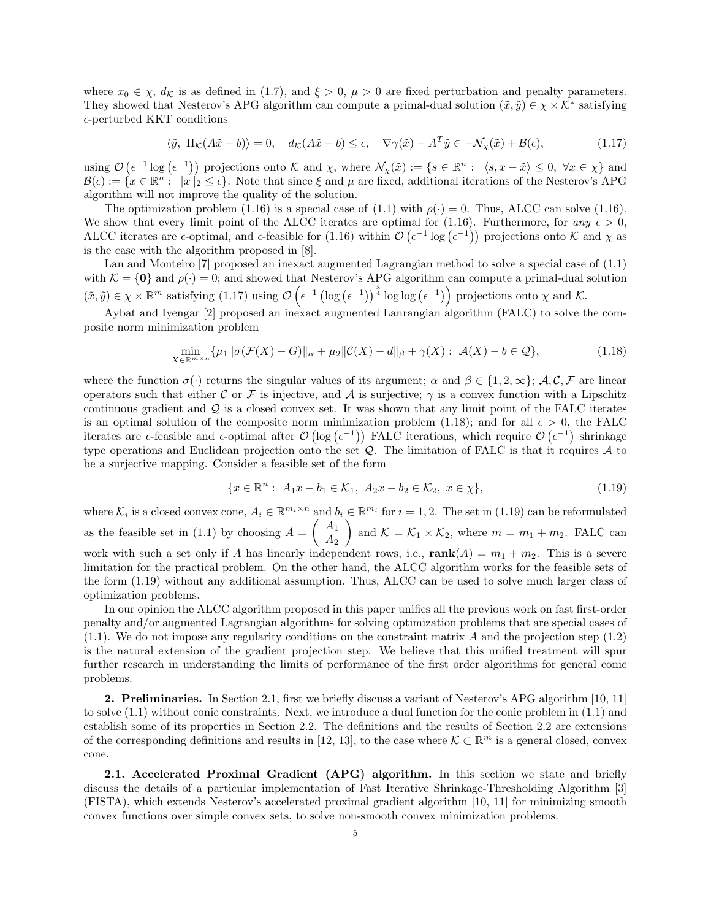where  $x_0 \in \chi$ ,  $d_{\mathcal{K}}$  is as defined in (1.7), and  $\xi > 0$ ,  $\mu > 0$  are fixed perturbation and penalty parameters. They showed that Nesterov's APG algorithm can compute a primal-dual solution  $(\tilde{x}, \tilde{y}) \in \chi \times \mathcal{K}^*$  satisfying  $\epsilon$ -perturbed KKT conditions

$$
\langle \tilde{y}, \Pi_{\mathcal{K}}(A\tilde{x} - b) \rangle = 0, \quad d_{\mathcal{K}}(A\tilde{x} - b) \le \epsilon, \quad \nabla \gamma(\tilde{x}) - A^T \tilde{y} \in -\mathcal{N}_{\chi}(\tilde{x}) + \mathcal{B}(\epsilon), \tag{1.17}
$$

using  $\mathcal{O}(\epsilon^{-1} \log(\epsilon^{-1}))$  projections onto K and  $\chi$ , where  $\mathcal{N}_{\chi}(\tilde{x}) := \{ s \in \mathbb{R}^n : \langle s, x - \tilde{x} \rangle \leq 0, \ \forall x \in \chi \}$  and  $\mathcal{B}(\epsilon) := \{x \in \mathbb{R}^n : ||x||_2 \leq \epsilon\}.$  Note that since  $\xi$  and  $\mu$  are fixed, additional iterations of the Nesterov's APG algorithm will not improve the quality of the solution.

The optimization problem (1.16) is a special case of (1.1) with  $\rho(\cdot) = 0$ . Thus, ALCC can solve (1.16). We show that every limit point of the ALCC iterates are optimal for (1.16). Furthermore, for any  $\epsilon > 0$ , ALCC iterates are  $\epsilon$ -optimal, and  $\epsilon$ -feasible for (1.16) within  $\mathcal{O}(\epsilon^{-1} \log(\epsilon^{-1}))$  projections onto K and  $\chi$  as is the case with the algorithm proposed in [8].

Lan and Monteiro [7] proposed an inexact augmented Lagrangian method to solve a special case of (1.1) with  $\mathcal{K} = \{0\}$  and  $\rho(\cdot) = 0$ ; and showed that Nesterov's APG algorithm can compute a primal-dual solution  $(\tilde{x}, \tilde{y}) \in \chi \times \mathbb{R}^m$  satisfying  $(1.17)$  using  $\mathcal{O}(\epsilon^{-1} (\log(\epsilon^{-1}))^{\frac{3}{4}} \log \log(\epsilon^{-1}))$  projections onto  $\chi$  and  $\mathcal{K}$ .

Aybat and Iyengar [2] proposed an inexact augmented Lanrangian algorithm (FALC) to solve the composite norm minimization problem

$$
\min_{X \in \mathbb{R}^{m \times n}} \{ \mu_1 \|\sigma(\mathcal{F}(X) - G)\|_{\alpha} + \mu_2 \|\mathcal{C}(X) - d\|_{\beta} + \gamma(X) : \mathcal{A}(X) - b \in \mathcal{Q} \},\tag{1.18}
$$

where the function  $\sigma(\cdot)$  returns the singular values of its argument;  $\alpha$  and  $\beta \in \{1, 2, \infty\}$ ;  $\mathcal{A}, \mathcal{C}, \mathcal{F}$  are linear operators such that either C or F is injective, and A is surjective;  $\gamma$  is a convex function with a Lipschitz continuous gradient and  $Q$  is a closed convex set. It was shown that any limit point of the FALC iterates is an optimal solution of the composite norm minimization problem (1.18); and for all  $\epsilon > 0$ , the FALC iterates are  $\epsilon$ -feasible and  $\epsilon$ -optimal after  $\mathcal{O}(\log(\epsilon^{-1}))$  FALC iterations, which require  $\mathcal{O}(\epsilon^{-1})$  shrinkage type operations and Euclidean projection onto the set  $Q$ . The limitation of FALC is that it requires  $\mathcal A$  to be a surjective mapping. Consider a feasible set of the form

$$
\{x \in \mathbb{R}^n : A_1x - b_1 \in \mathcal{K}_1, A_2x - b_2 \in \mathcal{K}_2, x \in \chi\},\tag{1.19}
$$

where  $\mathcal{K}_i$  is a closed convex cone,  $A_i \in \mathbb{R}^{m_i \times n}$  and  $b_i \in \mathbb{R}^{m_i}$  for  $i = 1, 2$ . The set in (1.19) can be reformulated as the feasible set in (1.1) by choosing  $A = \begin{pmatrix} A_1 \\ A_2 \end{pmatrix}$  $A_2$ and  $\mathcal{K} = \mathcal{K}_1 \times \mathcal{K}_2$ , where  $m = m_1 + m_2$ . FALC can work with such a set only if A has linearly independent rows, i.e.,  $\text{rank}(A) = m_1 + m_2$ . This is a severe limitation for the practical problem. On the other hand, the ALCC algorithm works for the feasible sets of the form (1.19) without any additional assumption. Thus, ALCC can be used to solve much larger class of optimization problems.

In our opinion the ALCC algorithm proposed in this paper unifies all the previous work on fast first-order penalty and/or augmented Lagrangian algorithms for solving optimization problems that are special cases of  $(1.1)$ . We do not impose any regularity conditions on the constraint matrix A and the projection step  $(1.2)$ is the natural extension of the gradient projection step. We believe that this unified treatment will spur further research in understanding the limits of performance of the first order algorithms for general conic problems.

2. Preliminaries. In Section 2.1, first we briefly discuss a variant of Nesterov's APG algorithm [10, 11] to solve (1.1) without conic constraints. Next, we introduce a dual function for the conic problem in (1.1) and establish some of its properties in Section 2.2. The definitions and the results of Section 2.2 are extensions of the corresponding definitions and results in [12, 13], to the case where  $\mathcal{K} \subset \mathbb{R}^m$  is a general closed, convex cone.

2.1. Accelerated Proximal Gradient (APG) algorithm. In this section we state and briefly discuss the details of a particular implementation of Fast Iterative Shrinkage-Thresholding Algorithm [3] (FISTA), which extends Nesterov's accelerated proximal gradient algorithm [10, 11] for minimizing smooth convex functions over simple convex sets, to solve non-smooth convex minimization problems.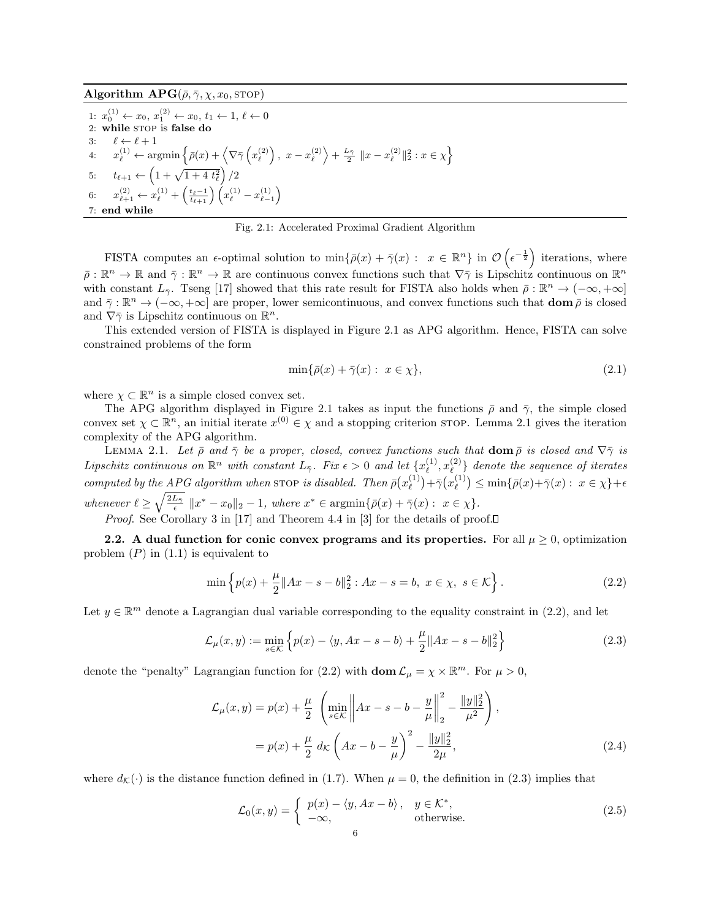1:  $x_0^{(1)} \leftarrow x_0, x_1^{(2)} \leftarrow x_0, t_1 \leftarrow 1, \ell \leftarrow 0$ 2: while STOP is false do 3:  $\ell \leftarrow \ell + 1$  $4: \quad x_{\ell}^{(1)} \leftarrow \text{argmin} \left\{ \bar{\rho}(x) + \left\langle \nabla \bar{\gamma} \left( x_{\ell}^{(2)} \right), \ x - x_{\ell}^{(2)} \right\rangle + \frac{L_{\bar{\gamma}}}{2} \ \|x - x_{\ell}^{(2)}\|_2^2 : x \in \chi \right\}$ 5:  $t_{\ell+1} \leftarrow \left(1 + \sqrt{1 + 4 t_{\ell}^2}\right)/2$ 6:  $x_{\ell+1}^{(2)} \leftarrow x_{\ell}^{(1)} + \left(\frac{t_{\ell}-1}{t_{\ell+1}}\right) \left(x_{\ell}^{(1)} - x_{\ell-1}^{(1)}\right)$ 7: end while

Fig. 2.1: Accelerated Proximal Gradient Algorithm

FISTA computes an  $\epsilon$ -optimal solution to  $\min\{\bar{\rho}(x) + \bar{\gamma}(x) : x \in \mathbb{R}^n\}$  in  $\mathcal{O}(\epsilon^{-\frac{1}{2}})$  iterations, where  $\overline{\rho}: \mathbb{R}^n \to \mathbb{R}$  and  $\overline{\gamma}: \mathbb{R}^n \to \mathbb{R}$  are continuous convex functions such that  $\nabla \overline{\gamma}$  is Lipschitz continuous on  $\mathbb{R}^n$ with constant  $L_{\bar{Y}}$ . Tseng [17] showed that this rate result for FISTA also holds when  $\bar{\rho}: \mathbb{R}^n \to (-\infty, +\infty]$ and  $\bar{\gamma}: \mathbb{R}^n \to (-\infty, +\infty]$  are proper, lower semicontinuous, and convex functions such that  $\text{dom}\,\bar{\rho}$  is closed and  $\nabla \bar{\gamma}$  is Lipschitz continuous on  $\mathbb{R}^n$ .

This extended version of FISTA is displayed in Figure 2.1 as APG algorithm. Hence, FISTA can solve constrained problems of the form

$$
\min\{\bar{\rho}(x) + \bar{\gamma}(x) : x \in \chi\},\tag{2.1}
$$

where  $\chi \subset \mathbb{R}^n$  is a simple closed convex set.

The APG algorithm displayed in Figure 2.1 takes as input the functions  $\bar{\rho}$  and  $\bar{\gamma}$ , the simple closed convex set  $\chi \subset \mathbb{R}^n$ , an initial iterate  $x^{(0)} \in \chi$  and a stopping criterion stop. Lemma 2.1 gives the iteration complexity of the APG algorithm.

LEMMA 2.1. Let  $\bar{\rho}$  and  $\bar{\gamma}$  be a proper, closed, convex functions such that  $\text{dom } \bar{\rho}$  is closed and  $\nabla \bar{\gamma}$  is Lipschitz continuous on  $\mathbb{R}^n$  with constant  $L_{\bar{\gamma}}$ . Fix  $\epsilon > 0$  and let  $\{x_{\ell}^{(1)}\}$  $\binom{1}{\ell}, x_\ell^{(2)}$  $\binom{2}{\ell}$  denote the sequence of iterates computed by the APG algorithm when stop is disabled. Then  $\bar{\rho}(x_{\ell}^{(1)})$  $\bar{\gamma}^{(1)}$  +  $\bar{\gamma}$   $(x_{\ell}^{(1)})$  $\binom{1}{\ell} \leq \min\{\bar{\rho}(x)+\bar{\gamma}(x): x \in \chi\}+\epsilon$ whenever  $\ell \geq \sqrt{\frac{2L_{\bar{\gamma}}}{\epsilon}} ||x^* - x_0||_2 - 1$ , where  $x^* \in \operatorname{argmin}{\{\bar{\rho}(x) + \bar{\gamma}(x) : x \in \chi\}}$ . *Proof.* See Corollary 3 in [17] and Theorem 4.4 in [3] for the details of proof.

2.2. A dual function for conic convex programs and its properties. For all  $\mu \geq 0$ , optimization problem  $(P)$  in  $(1.1)$  is equivalent to

$$
\min \left\{ p(x) + \frac{\mu}{2} \|Ax - s - b\|_2^2 : Ax - s = b, \ x \in \chi, \ s \in \mathcal{K} \right\}.
$$
\n(2.2)

Let  $y \in \mathbb{R}^m$  denote a Lagrangian dual variable corresponding to the equality constraint in (2.2), and let

$$
\mathcal{L}_{\mu}(x, y) := \min_{s \in \mathcal{K}} \left\{ p(x) - \langle y, Ax - s - b \rangle + \frac{\mu}{2} \| Ax - s - b \|_{2}^{2} \right\}
$$
 (2.3)

denote the "penalty" Lagrangian function for (2.2) with  $\text{dom }\mathcal{L}_{\mu} = \chi \times \mathbb{R}^m$ . For  $\mu > 0$ ,

$$
\mathcal{L}_{\mu}(x,y) = p(x) + \frac{\mu}{2} \left( \min_{s \in \mathcal{K}} \left\| Ax - s - b - \frac{y}{\mu} \right\|_{2}^{2} - \frac{\|y\|_{2}^{2}}{\mu^{2}} \right),
$$
  
=  $p(x) + \frac{\mu}{2} d_{\mathcal{K}} \left( Ax - b - \frac{y}{\mu} \right)^{2} - \frac{\|y\|_{2}^{2}}{2\mu},$  (2.4)

where  $d_K(\cdot)$  is the distance function defined in (1.7). When  $\mu = 0$ , the definition in (2.3) implies that

$$
\mathcal{L}_0(x, y) = \begin{cases} p(x) - \langle y, Ax - b \rangle, & y \in \mathcal{K}^*, \\ -\infty, & \text{otherwise.} \end{cases}
$$
 (2.5)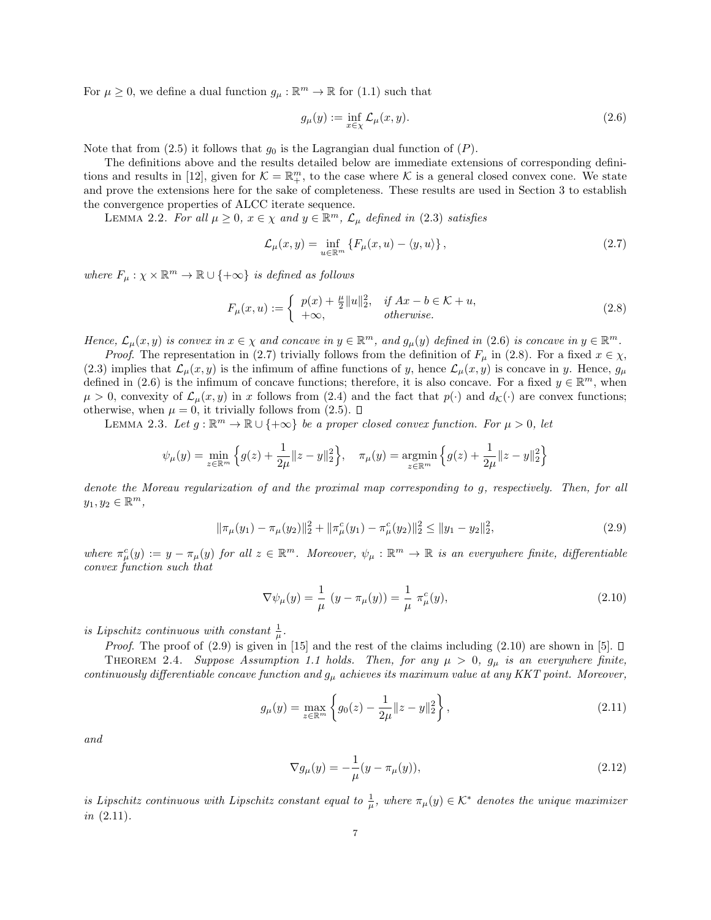For  $\mu \geq 0$ , we define a dual function  $g_{\mu} : \mathbb{R}^m \to \mathbb{R}$  for (1.1) such that

$$
g_{\mu}(y) := \inf_{x \in \chi} \mathcal{L}_{\mu}(x, y). \tag{2.6}
$$

Note that from (2.5) it follows that  $g_0$  is the Lagrangian dual function of  $(P)$ .

The definitions above and the results detailed below are immediate extensions of corresponding definitions and results in [12], given for  $\mathcal{K} = \mathbb{R}_{+}^{m}$ , to the case where  $\mathcal{K}$  is a general closed convex cone. We state and prove the extensions here for the sake of completeness. These results are used in Section 3 to establish the convergence properties of ALCC iterate sequence.

LEMMA 2.2. For all  $\mu \geq 0$ ,  $x \in \chi$  and  $y \in \mathbb{R}^m$ ,  $\mathcal{L}_{\mu}$  defined in (2.3) satisfies

$$
\mathcal{L}_{\mu}(x,y) = \inf_{u \in \mathbb{R}^m} \left\{ F_{\mu}(x,u) - \langle y,u \rangle \right\},\tag{2.7}
$$

where  $F_{\mu}: \chi \times \mathbb{R}^m \to \mathbb{R} \cup \{+\infty\}$  is defined as follows

$$
F_{\mu}(x, u) := \begin{cases} p(x) + \frac{\mu}{2} ||u||_2^2, & \text{if } Ax - b \in \mathcal{K} + u, \\ +\infty, & \text{otherwise.} \end{cases}
$$
(2.8)

Hence,  $\mathcal{L}_{\mu}(x, y)$  is convex in  $x \in \chi$  and concave in  $y \in \mathbb{R}^m$ , and  $g_{\mu}(y)$  defined in (2.6) is concave in  $y \in \mathbb{R}^m$ .

*Proof.* The representation in (2.7) trivially follows from the definition of  $F_\mu$  in (2.8). For a fixed  $x \in \chi$ , (2.3) implies that  $\mathcal{L}_{\mu}(x, y)$  is the infimum of affine functions of y, hence  $\mathcal{L}_{\mu}(x, y)$  is concave in y. Hence,  $g_{\mu}$ defined in (2.6) is the infimum of concave functions; therefore, it is also concave. For a fixed  $y \in \mathbb{R}^m$ , when  $\mu > 0$ , convexity of  $\mathcal{L}_{\mu}(x, y)$  in x follows from (2.4) and the fact that  $p(\cdot)$  and  $d_{\mathcal{K}}(\cdot)$  are convex functions; otherwise, when  $\mu = 0$ , it trivially follows from (2.5).  $\Box$ 

LEMMA 2.3. Let  $g : \mathbb{R}^m \to \mathbb{R} \cup \{+\infty\}$  be a proper closed convex function. For  $\mu > 0$ , let

$$
\psi_{\mu}(y) = \min_{z \in \mathbb{R}^m} \left\{ g(z) + \frac{1}{2\mu} \|z - y\|_2^2 \right\}, \quad \pi_{\mu}(y) = \operatorname*{argmin}_{z \in \mathbb{R}^m} \left\{ g(z) + \frac{1}{2\mu} \|z - y\|_2^2 \right\}
$$

denote the Moreau regularization of and the proximal map corresponding to g, respectively. Then, for all  $y_1, y_2 \in \mathbb{R}^m$ ,

$$
\|\pi_{\mu}(y_1) - \pi_{\mu}(y_2)\|_2^2 + \|\pi_{\mu}^c(y_1) - \pi_{\mu}^c(y_2)\|_2^2 \le \|y_1 - y_2\|_2^2,
$$
\n(2.9)

where  $\pi^c_\mu(y) := y - \pi_\mu(y)$  for all  $z \in \mathbb{R}^m$ . Moreover,  $\psi_\mu : \mathbb{R}^m \to \mathbb{R}$  is an everywhere finite, differentiable convex function such that

$$
\nabla \psi_{\mu}(y) = \frac{1}{\mu} (y - \pi_{\mu}(y)) = \frac{1}{\mu} \pi_{\mu}^{c}(y),
$$
\n(2.10)

is Lipschitz continuous with constant  $\frac{1}{\mu}$ .

*Proof.* The proof of (2.9) is given in [15] and the rest of the claims including (2.10) are shown in [5].  $\Box$ 

THEOREM 2.4. Suppose Assumption 1.1 holds. Then, for any  $\mu > 0$ ,  $g_{\mu}$  is an everywhere finite, continuously differentiable concave function and  $g_{\mu}$  achieves its maximum value at any KKT point. Moreover,

$$
g_{\mu}(y) = \max_{z \in \mathbb{R}^m} \left\{ g_0(z) - \frac{1}{2\mu} ||z - y||_2^2 \right\},\tag{2.11}
$$

and

$$
\nabla g_{\mu}(y) = -\frac{1}{\mu}(y - \pi_{\mu}(y)),
$$
\n(2.12)

is Lipschitz continuous with Lipschitz constant equal to  $\frac{1}{\mu}$ , where  $\pi_{\mu}(y) \in \mathcal{K}^*$  denotes the unique maximizer  $in (2.11).$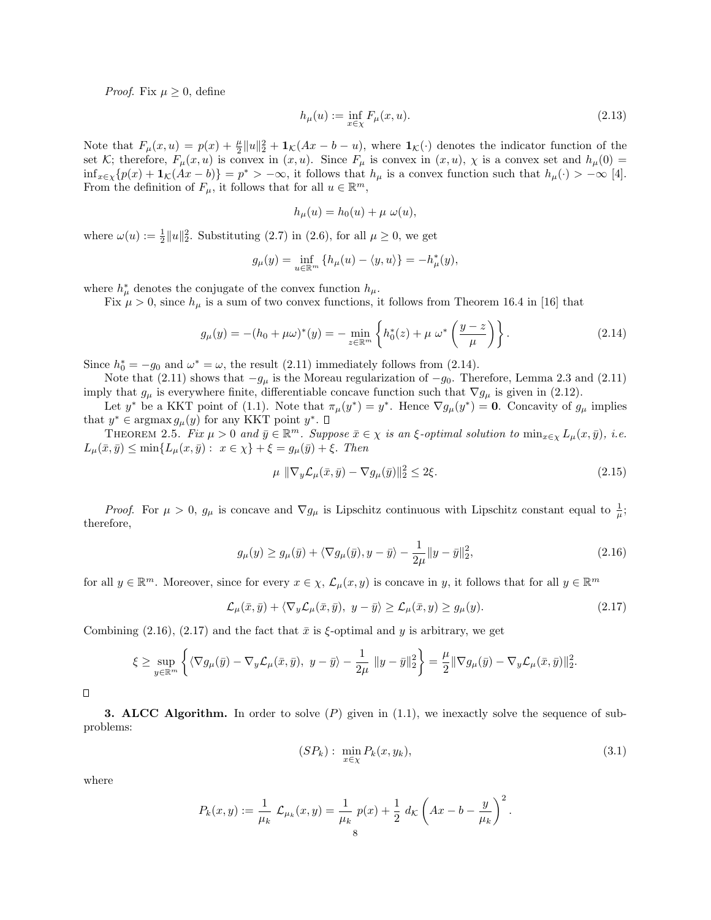*Proof.* Fix  $\mu > 0$ , define

$$
h_{\mu}(u) := \inf_{x \in \chi} F_{\mu}(x, u).
$$
\n(2.13)

Note that  $F_{\mu}(x, u) = p(x) + \frac{\mu}{2} ||u||_2^2 + \mathbf{1}_{\mathcal{K}}(Ax - b - u)$ , where  $\mathbf{1}_{\mathcal{K}}(\cdot)$  denotes the indicator function of the set K; therefore,  $F_{\mu}(x, u)$  is convex in  $(x, u)$ . Since  $F_{\mu}$  is convex in  $(x, u)$ ,  $\chi$  is a convex set and  $h_{\mu}(0)$  =  $\inf_{x \in \chi} \{p(x) + \mathbf{1}_{\mathcal{K}}(Ax - b)\} = p^* > -\infty$ , it follows that  $h_{\mu}$  is a convex function such that  $h_{\mu}(\cdot) > -\infty$  [4]. From the definition of  $F_{\mu}$ , it follows that for all  $u \in \mathbb{R}^m$ ,

$$
h_{\mu}(u) = h_0(u) + \mu \omega(u),
$$

where  $\omega(u) := \frac{1}{2} ||u||_2^2$ . Substituting (2.7) in (2.6), for all  $\mu \ge 0$ , we get

$$
g_{\mu}(y) = \inf_{u \in \mathbb{R}^m} \{ h_{\mu}(u) - \langle y, u \rangle \} = -h_{\mu}^*(y),
$$

where  $h^*_{\mu}$  denotes the conjugate of the convex function  $h_{\mu}$ .

Fix  $\mu > 0$ , since  $h_{\mu}$  is a sum of two convex functions, it follows from Theorem 16.4 in [16] that

$$
g_{\mu}(y) = -(h_0 + \mu \omega)^*(y) = -\min_{z \in \mathbb{R}^m} \left\{ h_0^*(z) + \mu \omega^* \left( \frac{y - z}{\mu} \right) \right\}.
$$
 (2.14)

Since  $h_0^* = -g_0$  and  $\omega^* = \omega$ , the result (2.11) immediately follows from (2.14).

Note that (2.11) shows that  $-g_{\mu}$  is the Moreau regularization of  $-g_0$ . Therefore, Lemma 2.3 and (2.11) imply that  $g_\mu$  is everywhere finite, differentiable concave function such that  $\nabla g_\mu$  is given in (2.12).

Let y<sup>\*</sup> be a KKT point of (1.1). Note that  $\pi_{\mu}(y^*) = y^*$ . Hence  $\nabla g_{\mu}(y^*) = 0$ . Concavity of  $g_{\mu}$  implies that  $y^* \in \operatorname{argmax} g_\mu(y)$  for any KKT point  $y^*$ .

THEOREM 2.5. Fix  $\mu > 0$  and  $\bar{y} \in \mathbb{R}^m$ . Suppose  $\bar{x} \in \chi$  is an  $\xi$ -optimal solution to  $\min_{x \in \chi} L_{\mu}(x, \bar{y}),$  i.e.  $L_{\mu}(\bar{x}, \bar{y}) \leq \min\{L_{\mu}(x, \bar{y}): x \in \chi\} + \xi = g_{\mu}(\bar{y}) + \xi$ . Then

$$
\mu \|\nabla_y \mathcal{L}_\mu(\bar{x}, \bar{y}) - \nabla g_\mu(\bar{y})\|_2^2 \le 2\xi. \tag{2.15}
$$

*Proof.* For  $\mu > 0$ ,  $g_{\mu}$  is concave and  $\nabla g_{\mu}$  is Lipschitz continuous with Lipschitz constant equal to  $\frac{1}{\mu}$ ; therefore,

$$
g_{\mu}(y) \ge g_{\mu}(\bar{y}) + \langle \nabla g_{\mu}(\bar{y}), y - \bar{y} \rangle - \frac{1}{2\mu} \|y - \bar{y}\|_2^2, \tag{2.16}
$$

for all  $y \in \mathbb{R}^m$ . Moreover, since for every  $x \in \chi$ ,  $\mathcal{L}_{\mu}(x, y)$  is concave in y, it follows that for all  $y \in \mathbb{R}^m$ 

$$
\mathcal{L}_{\mu}(\bar{x}, \bar{y}) + \langle \nabla_y \mathcal{L}_{\mu}(\bar{x}, \bar{y}), y - \bar{y} \rangle \ge \mathcal{L}_{\mu}(\bar{x}, y) \ge g_{\mu}(y). \tag{2.17}
$$

Combining (2.16), (2.17) and the fact that  $\bar{x}$  is  $\xi$ -optimal and y is arbitrary, we get

$$
\xi \geq \sup_{y \in \mathbb{R}^m} \left\{ \langle \nabla g_\mu(\bar{y}) - \nabla_y \mathcal{L}_\mu(\bar{x}, \bar{y}), y - \bar{y} \rangle - \frac{1}{2\mu} \|y - \bar{y}\|_2^2 \right\} = \frac{\mu}{2} \|\nabla g_\mu(\bar{y}) - \nabla_y \mathcal{L}_\mu(\bar{x}, \bar{y})\|_2^2.
$$

 $\Box$ 

**3. ALCC Algorithm.** In order to solve  $(P)$  given in  $(1.1)$ , we inexactly solve the sequence of subproblems:

$$
(SP_k): \ \min_{x \in \chi} P_k(x, y_k), \tag{3.1}
$$

where

$$
P_k(x,y) := \frac{1}{\mu_k} \mathcal{L}_{\mu_k}(x,y) = \frac{1}{\mu_k} p(x) + \frac{1}{2} d_K \left( Ax - b - \frac{y}{\mu_k} \right)^2.
$$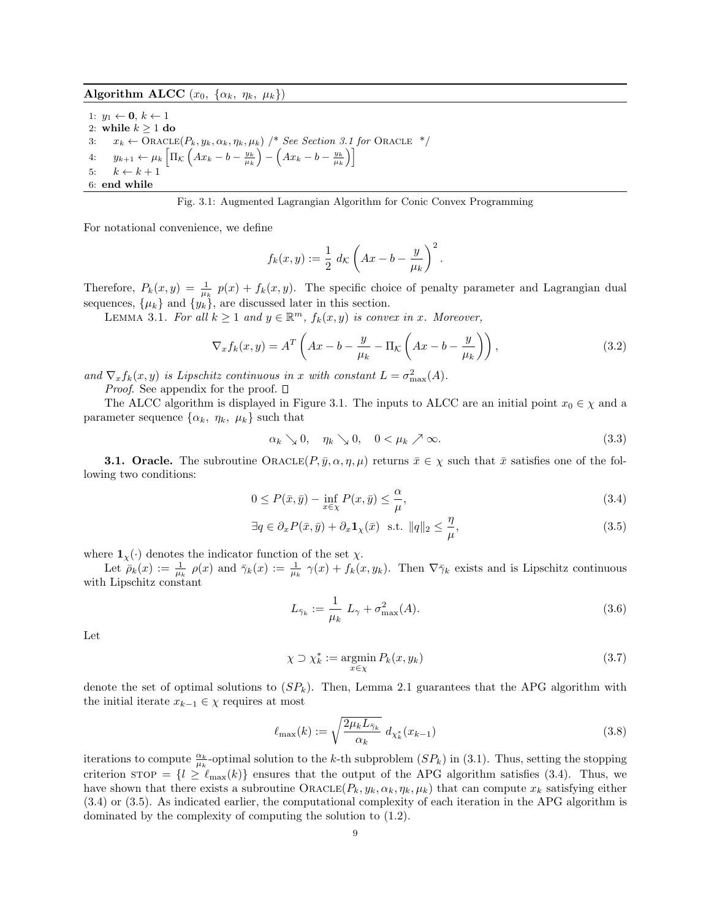Algorithm ALCC  $(x_0, \{\alpha_k, \eta_k, \mu_k\})$ 

1:  $y_1 \leftarrow \mathbf{0}, k \leftarrow 1$ 2: while  $k \geq 1$  do 3:  $x_k \leftarrow \text{ORACLE}(P_k, y_k, \alpha_k, \eta_k, \mu_k)$  /\* See Section 3.1 for Oracle \*/ 4:  $y_{k+1} \leftarrow \mu_k \left[ \Pi_{\mathcal{K}} \left( Ax_k - b - \frac{y_k}{\mu_k} \right) - \left( Ax_k - b - \frac{y_k}{\mu_k} \right) \right]$ 5:  $k \leftarrow k + 1$ 6: end while

Fig. 3.1: Augmented Lagrangian Algorithm for Conic Convex Programming

For notational convenience, we define

$$
f_k(x,y) := \frac{1}{2} d\kappa \left( Ax - b - \frac{y}{\mu_k} \right)^2.
$$

Therefore,  $P_k(x, y) = \frac{1}{\mu_k} p(x) + f_k(x, y)$ . The specific choice of penalty parameter and Lagrangian dual sequences,  $\{\mu_k\}$  and  $\{y_k\}$ , are discussed later in this section.

LEMMA 3.1. For all  $k \geq 1$  and  $y \in \mathbb{R}^m$ ,  $f_k(x, y)$  is convex in x. Moreover,

$$
\nabla_x f_k(x, y) = A^T \left( Ax - b - \frac{y}{\mu_k} - \Pi_K \left( Ax - b - \frac{y}{\mu_k} \right) \right), \tag{3.2}
$$

and  $\nabla_x f_k(x, y)$  is Lipschitz continuous in x with constant  $L = \sigma_{\max}^2(A)$ .

*Proof.* See appendix for the proof.  $\square$ 

The ALCC algorithm is displayed in Figure 3.1. The inputs to ALCC are an initial point  $x_0 \in \chi$  and a parameter sequence  $\{\alpha_k, \eta_k, \mu_k\}$  such that

$$
\alpha_k \searrow 0, \quad \eta_k \searrow 0, \quad 0 < \mu_k \nearrow \infty. \tag{3.3}
$$

**3.1. Oracle.** The subroutine  $\text{ORACLE}(P, \bar{y}, \alpha, \eta, \mu)$  returns  $\bar{x} \in \chi$  such that  $\bar{x}$  satisfies one of the following two conditions:

$$
0 \le P(\bar{x}, \bar{y}) - \inf_{x \in \chi} P(x, \bar{y}) \le \frac{\alpha}{\mu},\tag{3.4}
$$

$$
\exists q \in \partial_x P(\bar{x}, \bar{y}) + \partial_x \mathbf{1}_{\chi}(\bar{x}) \text{ s.t. } ||q||_2 \le \frac{\eta}{\mu},\tag{3.5}
$$

where  $\mathbf{1}_{\chi}(\cdot)$  denotes the indicator function of the set  $\chi$ .

Let  $\bar{\rho}_k(x) := \frac{1}{\mu_k} \rho(x)$  and  $\bar{\gamma}_k(x) := \frac{1}{\mu_k} \gamma(x) + f_k(x, y_k)$ . Then  $\nabla \bar{\gamma}_k$  exists and is Lipschitz continuous with Lipschitz constant

$$
L_{\bar{\gamma}_k} := \frac{1}{\mu_k} L_{\gamma} + \sigma_{\max}^2(A). \tag{3.6}
$$

Let

$$
\chi \supset \chi_k^* := \operatorname*{argmin}_{x \in \chi} P_k(x, y_k) \tag{3.7}
$$

denote the set of optimal solutions to  $(SP_k)$ . Then, Lemma 2.1 guarantees that the APG algorithm with the initial iterate  $x_{k-1} \in \chi$  requires at most

$$
\ell_{\max}(k) := \sqrt{\frac{2\mu_k L_{\bar{\gamma}_k}}{\alpha_k}} d_{\chi_k^*}(x_{k-1})
$$
\n(3.8)

iterations to compute  $\frac{\alpha_k}{\mu_k}$ -optimal solution to the k-th subproblem  $(SP_k)$  in (3.1). Thus, setting the stopping criterion stop =  $\{l \geq \ell_{\text{max}}(k)\}\$  ensures that the output of the APG algorithm satisfies (3.4). Thus, we have shown that there exists a subroutine  $\text{ORACLE}(P_k, y_k, \alpha_k, \eta_k, \mu_k)$  that can compute  $x_k$  satisfying either (3.4) or (3.5). As indicated earlier, the computational complexity of each iteration in the APG algorithm is dominated by the complexity of computing the solution to (1.2).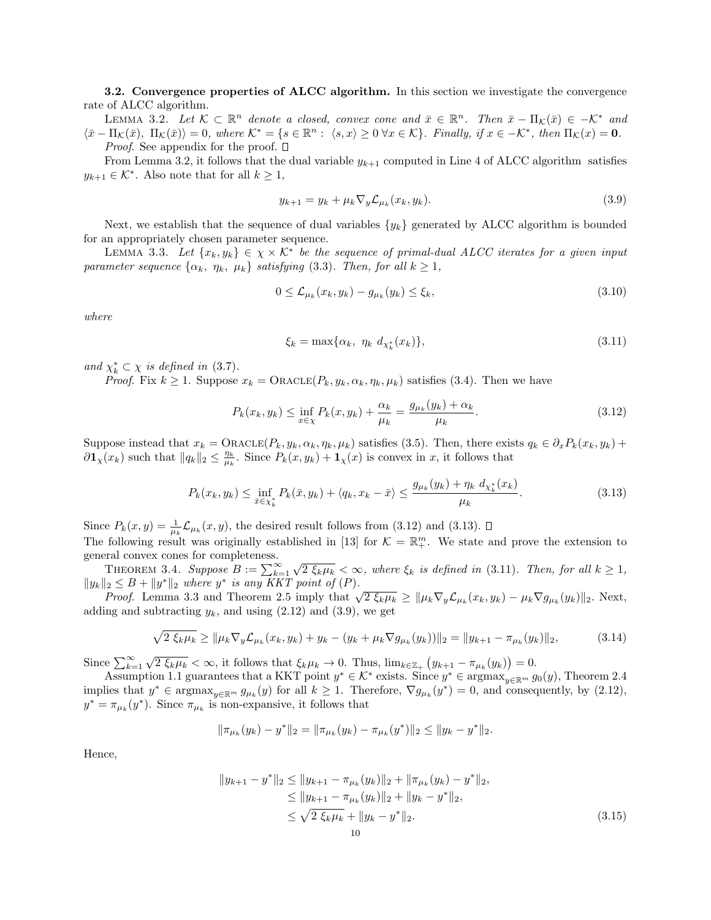3.2. Convergence properties of ALCC algorithm. In this section we investigate the convergence rate of ALCC algorithm.

LEMMA 3.2. Let  $K \subset \mathbb{R}^n$  denote a closed, convex cone and  $\bar{x} \in \mathbb{R}^n$ . Then  $\bar{x} - \Pi_K(\bar{x}) \in -\mathcal{K}^*$  and  $\langle \bar{x} - \Pi_{\mathcal{K}}(\bar{x}), \Pi_{\mathcal{K}}(\bar{x}) \rangle = 0$ , where  $\mathcal{K}^* = \{ s \in \mathbb{R}^n : \langle s, x \rangle \geq 0 \ \forall x \in \mathcal{K} \}$ . Finally, if  $x \in -\mathcal{K}^*$ , then  $\Pi_{\mathcal{K}}(x) = 0$ . *Proof.* See appendix for the proof.  $\square$ 

From Lemma 3.2, it follows that the dual variable  $y_{k+1}$  computed in Line 4 of ALCC algorithm satisfies  $y_{k+1} \in \mathcal{K}^*$ . Also note that for all  $k \geq 1$ ,

$$
y_{k+1} = y_k + \mu_k \nabla_y \mathcal{L}_{\mu_k}(x_k, y_k). \tag{3.9}
$$

Next, we establish that the sequence of dual variables  $\{y_k\}$  generated by ALCC algorithm is bounded for an appropriately chosen parameter sequence.

LEMMA 3.3. Let  $\{x_k, y_k\} \in \chi \times \mathcal{K}^*$  be the sequence of primal-dual ALCC iterates for a given input parameter sequence  $\{\alpha_k, \eta_k, \mu_k\}$  satisfying (3.3). Then, for all  $k \geq 1$ ,

$$
0 \leq \mathcal{L}_{\mu_k}(x_k, y_k) - g_{\mu_k}(y_k) \leq \xi_k,\tag{3.10}
$$

where

$$
\xi_k = \max\{\alpha_k, \ \eta_k \ d_{\chi_k^*}(x_k)\},\tag{3.11}
$$

and  $\chi_k^* \subset \chi$  is defined in (3.7).

*Proof.* Fix  $k \geq 1$ . Suppose  $x_k = \text{ORACLE}(P_k, y_k, \alpha_k, \eta_k, \mu_k)$  satisfies (3.4). Then we have

$$
P_k(x_k, y_k) \le \inf_{x \in \chi} P_k(x, y_k) + \frac{\alpha_k}{\mu_k} = \frac{g_{\mu_k}(y_k) + \alpha_k}{\mu_k}.
$$
\n(3.12)

Suppose instead that  $x_k = \text{ORACLE}(P_k, y_k, \alpha_k, \eta_k, \mu_k)$  satisfies (3.5). Then, there exists  $q_k \in \partial_x P_k(x_k, y_k)$  +  $\partial \mathbf{1}_{\chi}(x_k)$  such that  $||q_k||_2 \leq \frac{\eta_k}{\mu_k}$ . Since  $P_k(x, y_k) + \mathbf{1}_{\chi}(x)$  is convex in x, it follows that

$$
P_k(x_k, y_k) \le \inf_{\bar{x} \in \chi_k^*} P_k(\bar{x}, y_k) + \langle q_k, x_k - \bar{x} \rangle \le \frac{g_{\mu_k}(y_k) + \eta_k d_{\chi_k^*}(x_k)}{\mu_k}.
$$
\n(3.13)

Since  $P_k(x, y) = \frac{1}{\mu_k} \mathcal{L}_{\mu_k}(x, y)$ , the desired result follows from (3.12) and (3.13). The following result was originally established in [13] for  $\mathcal{K} = \mathbb{R}^m_+$ . We state and prove the extension to general convex cones for completeness.

THEOREM 3.4. Suppose  $B := \sum_{k=1}^{\infty}$  $\sqrt{2 \xi_k \mu_k} < \infty$ , where  $\xi_k$  is defined in (3.11). Then, for all  $k \geq 1$ ,  $||y_k||_2 \leq B + ||y^*||_2$  where  $y^*$  is any KKT point of  $(P)$ .

 $|2 \leq B + ||y||_2$  where y is any KK1 point of (F).<br>Proof. Lemma 3.3 and Theorem 2.5 imply that  $\sqrt{2 \xi_k \mu_k} \geq ||\mu_k \nabla_y \mathcal{L}_{\mu_k}(x_k, y_k) - \mu_k \nabla g_{\mu_k}(y_k)||_2$ . Next, adding and subtracting  $y_k$ , and using  $(2.12)$  and  $(3.9)$ , we get

$$
\sqrt{2 \xi_k \mu_k} \ge \|\mu_k \nabla_y \mathcal{L}_{\mu_k}(x_k, y_k) + y_k - (y_k + \mu_k \nabla g_{\mu_k}(y_k))\|_2 = \|y_{k+1} - \pi_{\mu_k}(y_k)\|_2, \tag{3.14}
$$

Since  $\sum_{k=1}^{\infty}$  $\sqrt{2 \xi_k \mu_k} < \infty$ , it follows that  $\xi_k \mu_k \to 0$ . Thus,  $\lim_{k \in \mathbb{Z}_+} (y_{k+1} - \pi_{\mu_k}(y_k)) = 0$ .

Assumption 1.1 guarantees that a KKT point  $y^* \in \mathcal{K}^*$  exists. Since  $y^* \in \text{argmax}_{y \in \mathbb{R}^m} g_0(y)$ , Theorem 2.4 implies that  $y^* \in \text{argmax}_{y \in \mathbb{R}^m} g_{\mu_k}(y)$  for all  $k \geq 1$ . Therefore,  $\nabla g_{\mu_k}(y^*) = 0$ , and consequently, by  $(2.12)$ ,  $y^* = \pi_{\mu_k}(y^*)$ . Since  $\pi_{\mu_k}$  is non-expansive, it follows that

$$
\|\pi_{\mu_k}(y_k)-y^*\|_2=\|\pi_{\mu_k}(y_k)-\pi_{\mu_k}(y^*)\|_2\leq\|y_k-y^*\|_2.
$$

Hence,

$$
||y_{k+1} - y^*||_2 \le ||y_{k+1} - \pi_{\mu_k}(y_k)||_2 + ||\pi_{\mu_k}(y_k) - y^*||_2,
$$
  
\n
$$
\le ||y_{k+1} - \pi_{\mu_k}(y_k)||_2 + ||y_k - y^*||_2,
$$
  
\n
$$
\le \sqrt{2 \xi_k \mu_k} + ||y_k - y^*||_2.
$$
\n(3.15)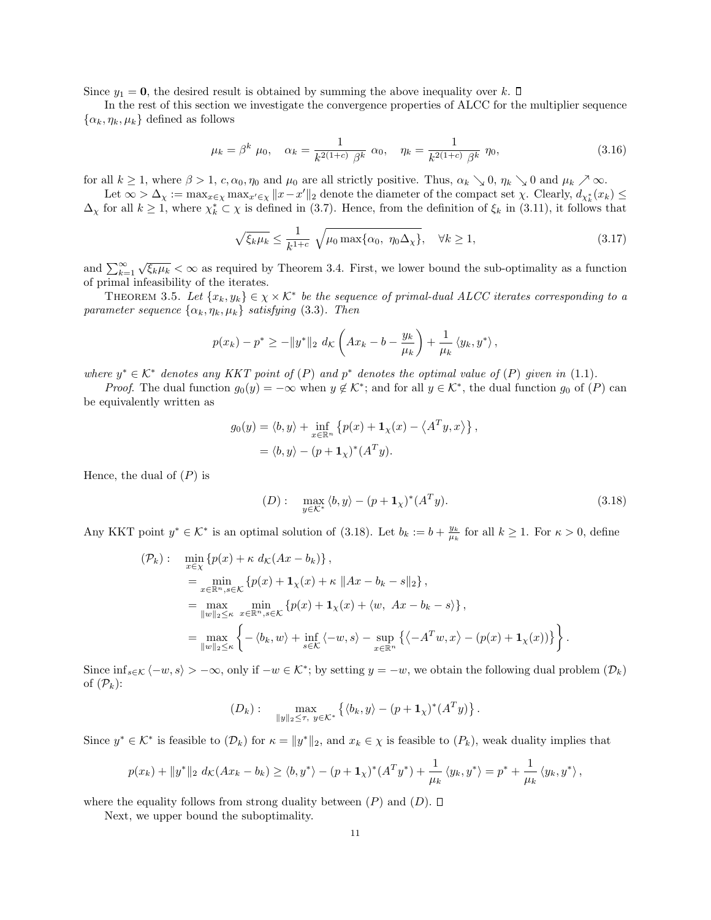Since  $y_1 = 0$ , the desired result is obtained by summing the above inequality over k.  $\Box$ 

In the rest of this section we investigate the convergence properties of ALCC for the multiplier sequence  $\{\alpha_k, \eta_k, \mu_k\}$  defined as follows

$$
\mu_k = \beta^k \ \mu_0, \quad \alpha_k = \frac{1}{k^{2(1+c)} \ \beta^k} \ \alpha_0, \quad \eta_k = \frac{1}{k^{2(1+c)} \ \beta^k} \ \eta_0,
$$
\n(3.16)

for all  $k \ge 1$ , where  $\beta > 1$ ,  $c, \alpha_0, \eta_0$  and  $\mu_0$  are all strictly positive. Thus,  $\alpha_k \searrow 0$ ,  $\eta_k \searrow 0$  and  $\mu_k \nearrow \infty$ .

Let  $\infty > \Delta_{\chi} := \max_{x \in \chi} \max_{x' \in \chi} ||x - x'||_2$  denote the diameter of the compact set  $\chi$ . Clearly,  $d_{\chi^*_k}(x_k) \le$  $\Delta_{\chi}$  for all  $k \geq 1$ , where  $\chi_k^* \subset \chi$  is defined in (3.7). Hence, from the definition of  $\xi_k$  in (3.11), it follows that

$$
\sqrt{\xi_k \mu_k} \le \frac{1}{k^{1+c}} \sqrt{\mu_0 \max\{\alpha_0, \eta_0 \Delta_\chi\}}, \quad \forall k \ge 1,
$$
\n(3.17)

and  $\sum_{k=1}^{\infty}$  $\sqrt{\xi_k \mu_k} < \infty$  as required by Theorem 3.4. First, we lower bound the sub-optimality as a function of primal infeasibility of the iterates.

THEOREM 3.5. Let  $\{x_k, y_k\} \in \chi \times \mathcal{K}^*$  be the sequence of primal-dual ALCC iterates corresponding to a parameter sequence  $\{\alpha_k, \eta_k, \mu_k\}$  satisfying (3.3). Then

$$
p(x_k) - p^* \ge -\|y^*\|_2 \, d_{\mathcal{K}}\left(Ax_k - b - \frac{y_k}{\mu_k}\right) + \frac{1}{\mu_k} \left\langle y_k, y^* \right\rangle,
$$

where  $y^* \in \mathcal{K}^*$  denotes any KKT point of  $(P)$  and  $p^*$  denotes the optimal value of  $(P)$  given in (1.1).

*Proof.* The dual function  $g_0(y) = -\infty$  when  $y \notin \mathcal{K}^*$ ; and for all  $y \in \mathcal{K}^*$ , the dual function  $g_0$  of  $(P)$  can be equivalently written as

$$
g_0(y) = \langle b, y \rangle + \inf_{x \in \mathbb{R}^n} \left\{ p(x) + \mathbf{1}_{\chi}(x) - \langle A^T y, x \rangle \right\},
$$
  
=  $\langle b, y \rangle - (p + \mathbf{1}_{\chi})^* (A^T y).$ 

Hence, the dual of  $(P)$  is

$$
(D): \quad \max_{y \in \mathcal{K}^*} \langle b, y \rangle - (p + \mathbf{1}_{\chi})^* (A^T y). \tag{3.18}
$$

Any KKT point  $y^* \in \mathcal{K}^*$  is an optimal solution of (3.18). Let  $b_k := b + \frac{y_k}{\mu_k}$  for all  $k \ge 1$ . For  $\kappa > 0$ , define

$$
\begin{split}\n(\mathcal{P}_k): \quad & \min_{x \in \chi} \left\{ p(x) + \kappa \, d_{\mathcal{K}}(Ax - b_k) \right\}, \\
& = \min_{x \in \mathbb{R}^n, s \in \mathcal{K}} \left\{ p(x) + \mathbf{1}_{\chi}(x) + \kappa \, \|Ax - b_k - s\|_2 \right\}, \\
& = \max_{\|w\|_2 \le \kappa} \min_{x \in \mathbb{R}^n, s \in \mathcal{K}} \left\{ p(x) + \mathbf{1}_{\chi}(x) + \langle w, Ax - b_k - s \rangle \right\}, \\
& = \max_{\|w\|_2 \le \kappa} \left\{ -\langle b_k, w \rangle + \inf_{s \in \mathcal{K}} \langle -w, s \rangle - \sup_{x \in \mathbb{R}^n} \left\{ \langle -A^T w, x \rangle - (p(x) + \mathbf{1}_{\chi}(x)) \right\} \right\}.\n\end{split}
$$

Since  $\inf_{s \in \mathcal{K}} \langle -w, s \rangle > -\infty$ , only if  $-w \in \mathcal{K}^*$ ; by setting  $y = -w$ , we obtain the following dual problem  $(\mathcal{D}_k)$ of  $(\mathcal{P}_k)$ :

$$
(D_k): \quad \max_{\|y\|_2 \leq \tau, \ y \in \mathcal{K}^*} \left\{ \langle b_k, y \rangle - (p + \mathbf{1}_{\chi})^* (A^T y) \right\}.
$$

Since  $y^* \in \mathcal{K}^*$  is feasible to  $(\mathcal{D}_k)$  for  $\kappa = ||y^*||_2$ , and  $x_k \in \chi$  is feasible to  $(P_k)$ , weak duality implies that

$$
p(x_k) + ||y^*||_2 d_{\mathcal{K}}(Ax_k - b_k) \ge \langle b, y^* \rangle - (p + \mathbf{1}_{\chi})^* (A^T y^*) + \frac{1}{\mu_k} \langle y_k, y^* \rangle = p^* + \frac{1}{\mu_k} \langle y_k, y^* \rangle,
$$

where the equality follows from strong duality between  $(P)$  and  $(D)$ .  $\Box$ 

Next, we upper bound the suboptimality.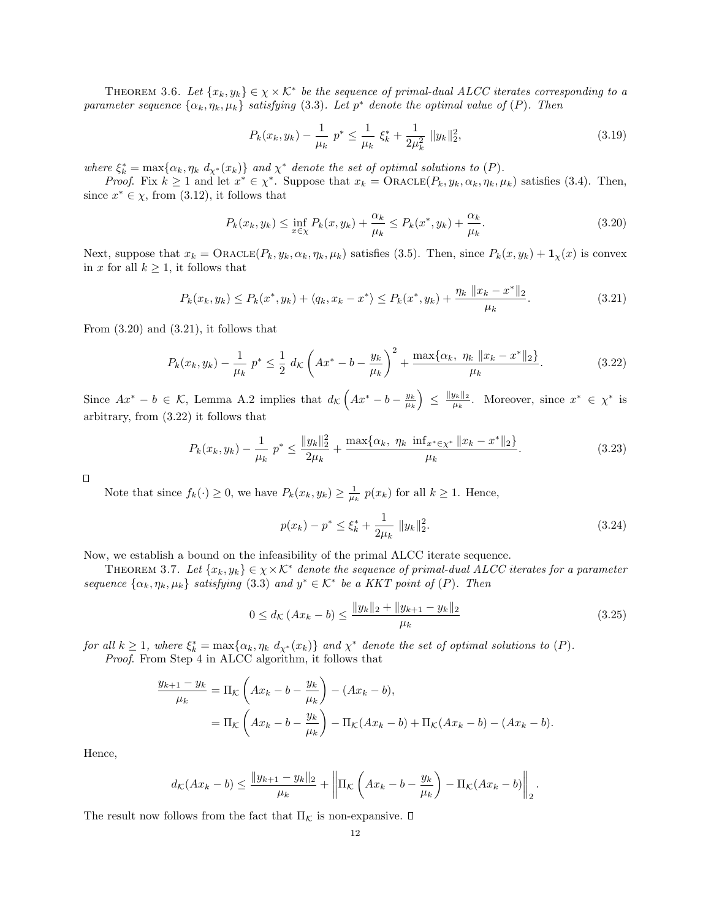THEOREM 3.6. Let  $\{x_k, y_k\} \in \chi \times \mathcal{K}^*$  be the sequence of primal-dual ALCC iterates corresponding to a parameter sequence  $\{\alpha_k, \eta_k, \mu_k\}$  satisfying (3.3). Let  $p^*$  denote the optimal value of  $(P)$ . Then

$$
P_k(x_k, y_k) - \frac{1}{\mu_k} p^* \le \frac{1}{\mu_k} \xi_k^* + \frac{1}{2\mu_k^2} \|y_k\|_2^2,
$$
\n(3.19)

where  $\xi_k^* = \max\{\alpha_k, \eta_k \, d_{\chi^*}(x_k)\}\$ and  $\chi^*$  denote the set of optimal solutions to  $(P)$ .

*Proof.* Fix  $k \ge 1$  and let  $x^* \in \chi^*$ . Suppose that  $x_k = \text{ORACLE}(P_k, y_k, \alpha_k, \eta_k, \mu_k)$  satisfies (3.4). Then, since  $x^* \in \chi$ , from (3.12), it follows that

$$
P_k(x_k, y_k) \le \inf_{x \in \chi} P_k(x, y_k) + \frac{\alpha_k}{\mu_k} \le P_k(x^*, y_k) + \frac{\alpha_k}{\mu_k}.\tag{3.20}
$$

Next, suppose that  $x_k = \text{ORACLE}(P_k, y_k, \alpha_k, \eta_k, \mu_k)$  satisfies (3.5). Then, since  $P_k(x, y_k) + \mathbf{1}_\chi(x)$  is convex in x for all  $k \geq 1$ , it follows that

$$
P_k(x_k, y_k) \le P_k(x^*, y_k) + \langle q_k, x_k - x^* \rangle \le P_k(x^*, y_k) + \frac{\eta_k \| x_k - x^* \|_2}{\mu_k}.
$$
\n(3.21)

From  $(3.20)$  and  $(3.21)$ , it follows that

$$
P_k(x_k, y_k) - \frac{1}{\mu_k} p^* \le \frac{1}{2} d_K \left( Ax^* - b - \frac{y_k}{\mu_k} \right)^2 + \frac{\max\{\alpha_k, \ \eta_k \ \|x_k - x^*\|_2\}}{\mu_k}.
$$
 (3.22)

Since  $Ax^* - b \in \mathcal{K}$ , Lemma A.2 implies that  $d_{\mathcal{K}}\left(Ax^* - b - \frac{y_k}{\mu_k}\right) \leq \frac{\|y_k\|_2}{\mu_k}$  $\frac{y_k||_2}{\mu_k}$ . Moreover, since  $x^* \in \chi^*$  is arbitrary, from (3.22) it follows that

$$
P_k(x_k, y_k) - \frac{1}{\mu_k} p^* \le \frac{\|y_k\|_2^2}{2\mu_k} + \frac{\max\{\alpha_k, \ \eta_k \ \inf_{x^* \in \chi^*} \|x_k - x^*\|_2\}}{\mu_k}.
$$
\n(3.23)

 $\Box$ 

Note that since  $f_k(\cdot) \geq 0$ , we have  $P_k(x_k, y_k) \geq \frac{1}{\mu_k} p(x_k)$  for all  $k \geq 1$ . Hence,

$$
p(x_k) - p^* \le \xi_k^* + \frac{1}{2\mu_k} \|y_k\|_2^2.
$$
\n(3.24)

Now, we establish a bound on the infeasibility of the primal ALCC iterate sequence.

THEOREM 3.7. Let  $\{x_k, y_k\} \in \chi \times \mathcal{K}^*$  denote the sequence of primal-dual ALCC iterates for a parameter sequence  $\{\alpha_k, \eta_k, \mu_k\}$  satisfying (3.3) and  $y^* \in \mathcal{K}^*$  be a KKT point of (P). Then

$$
0 \le d_{\mathcal{K}} \left( Ax_k - b \right) \le \frac{\|y_k\|_2 + \|y_{k+1} - y_k\|_2}{\mu_k} \tag{3.25}
$$

for all  $k \geq 1$ , where  $\xi_k^* = \max\{\alpha_k, \eta_k \, d_{\chi^*}(x_k)\}\$  and  $\chi^*$  denote the set of optimal solutions to  $(P)$ .

Proof. From Step 4 in ALCC algorithm, it follows that

$$
\frac{y_{k+1} - y_k}{\mu_k} = \Pi_{\mathcal{K}} \left( Ax_k - b - \frac{y_k}{\mu_k} \right) - (Ax_k - b),
$$
  
=  $\Pi_{\mathcal{K}} \left( Ax_k - b - \frac{y_k}{\mu_k} \right) - \Pi_{\mathcal{K}} (Ax_k - b) + \Pi_{\mathcal{K}} (Ax_k - b) - (Ax_k - b).$ 

Hence,

$$
d_{\mathcal{K}}(Ax_k-b) \le \frac{\|y_{k+1}-y_k\|_2}{\mu_k} + \left\|\Pi_{\mathcal{K}}\left(Ax_k-b-\frac{y_k}{\mu_k}\right)-\Pi_{\mathcal{K}}(Ax_k-b)\right\|_2.
$$

The result now follows from the fact that  $\Pi_{\mathcal{K}}$  is non-expansive.  $\Box$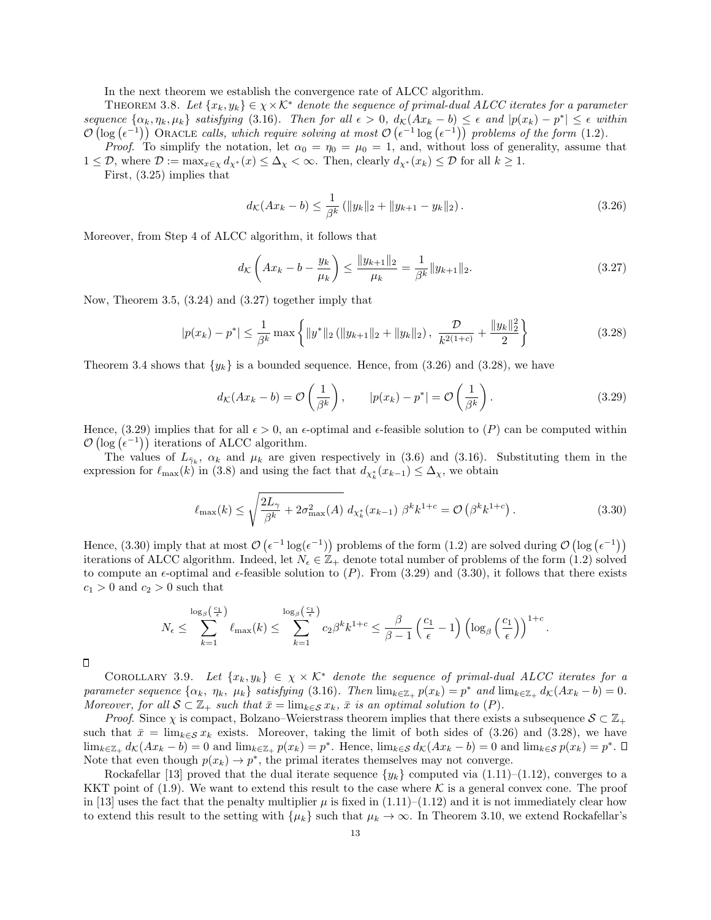In the next theorem we establish the convergence rate of ALCC algorithm.

THEOREM 3.8. Let  $\{x_k, y_k\} \in \chi \times \mathcal{K}^*$  denote the sequence of primal-dual ALCC iterates for a parameter sequence  $\{\alpha_k, \eta_k, \mu_k\}$  satisfying (3.16). Then for all  $\epsilon > 0$ ,  $d_{\mathcal{K}}(Ax_k - b) \leq \epsilon$  and  $|p(x_k) - p^*| \leq \epsilon$  within  $\mathcal{O}(\log(\epsilon^{-1}))$  ORACLE calls, which require solving at most  $\mathcal{O}(\epsilon^{-1}\log(\epsilon^{-1}))$  problems of the form (1.2).

*Proof.* To simplify the notation, let  $\alpha_0 = \eta_0 = \mu_0 = 1$ , and, without loss of generality, assume that  $1 \leq \mathcal{D}$ , where  $\mathcal{D} := \max_{x \in \chi} d_{\chi^*}(x) \leq \Delta_{\chi} < \infty$ . Then, clearly  $d_{\chi^*}(x_k) \leq \mathcal{D}$  for all  $k \geq 1$ .

First, (3.25) implies that

$$
d_{\mathcal{K}}(Ax_k - b) \le \frac{1}{\beta^k} \left( \|y_k\|_2 + \|y_{k+1} - y_k\|_2 \right). \tag{3.26}
$$

Moreover, from Step 4 of ALCC algorithm, it follows that

$$
d_{\mathcal{K}}\left(Ax_{k}-b-\frac{y_{k}}{\mu_{k}}\right) \leq \frac{\|y_{k+1}\|_{2}}{\mu_{k}} = \frac{1}{\beta^{k}}\|y_{k+1}\|_{2}.
$$
\n(3.27)

Now, Theorem 3.5, (3.24) and (3.27) together imply that

$$
|p(x_k) - p^*| \le \frac{1}{\beta^k} \max \left\{ \|y^*\|_2 \left( \|y_{k+1}\|_2 + \|y_k\|_2 \right), \ \frac{\mathcal{D}}{k^{2(1+c)}} + \frac{\|y_k\|_2^2}{2} \right\} \tag{3.28}
$$

Theorem 3.4 shows that  $\{y_k\}$  is a bounded sequence. Hence, from (3.26) and (3.28), we have

$$
d_{\mathcal{K}}(Ax_k - b) = \mathcal{O}\left(\frac{1}{\beta^k}\right), \qquad |p(x_k) - p^*| = \mathcal{O}\left(\frac{1}{\beta^k}\right). \tag{3.29}
$$

Hence, (3.29) implies that for all  $\epsilon > 0$ , an  $\epsilon$ -optimal and  $\epsilon$ -feasible solution to (P) can be computed within  $\mathcal{O}(\log(\epsilon^{-1}))$  iterations of ALCC algorithm.

The values of  $L_{\bar{\gamma}_k}$ ,  $\alpha_k$  and  $\mu_k$  are given respectively in (3.6) and (3.16). Substituting them in the expression for  $\ell_{\max}(k)$  in (3.8) and using the fact that  $d_{\chi^*_k}(x_{k-1}) \leq \Delta_{\chi}$ , we obtain

$$
\ell_{\max}(k) \le \sqrt{\frac{2L_{\gamma}}{\beta^k} + 2\sigma_{\max}^2(A)} d_{\chi_k^*}(x_{k-1}) \beta^k k^{1+c} = \mathcal{O}\left(\beta^k k^{1+c}\right). \tag{3.30}
$$

.

Hence, (3.30) imply that at most  $\mathcal{O}(\epsilon^{-1} \log(\epsilon^{-1}))$  problems of the form (1.2) are solved during  $\mathcal{O}(\log(\epsilon^{-1}))$ iterations of ALCC algorithm. Indeed, let  $N_{\epsilon} \in \mathbb{Z}_+$  denote total number of problems of the form (1.2) solved to compute an  $\epsilon$ -optimal and  $\epsilon$ -feasible solution to (P). From (3.29) and (3.30), it follows that there exists  $c_1 > 0$  and  $c_2 > 0$  such that

$$
N_{\epsilon} \leq \sum_{k=1}^{\log_{\beta}\left(\frac{c_1}{\epsilon}\right)} \ell_{\max}(k) \leq \sum_{k=1}^{\log_{\beta}\left(\frac{c_1}{\epsilon}\right)} c_2 \beta^k k^{1+c} \leq \frac{\beta}{\beta - 1} \left(\frac{c_1}{\epsilon} - 1\right) \left(\log_{\beta}\left(\frac{c_1}{\epsilon}\right)\right)^{1+c}
$$

 $\Box$ 

COROLLARY 3.9. Let  $\{x_k, y_k\} \in \chi \times \mathcal{K}^*$  denote the sequence of primal-dual ALCC iterates for a parameter sequence  $\{\alpha_k, \eta_k, \mu_k\}$  satisfying (3.16). Then  $\lim_{k \in \mathbb{Z}_+} p(x_k) = p^*$  and  $\lim_{k \in \mathbb{Z}_+} d_{\mathcal{K}}(Ax_k - b) = 0$ . Moreover, for all  $S \subset \mathbb{Z}_+$  such that  $\bar{x} = \lim_{k \in S} x_k$ ,  $\bar{x}$  is an optimal solution to  $(P)$ .

*Proof.* Since  $\chi$  is compact, Bolzano–Weierstrass theorem implies that there exists a subsequence  $S \subset \mathbb{Z}_+$ such that  $\bar{x} = \lim_{k \in S} x_k$  exists. Moreover, taking the limit of both sides of (3.26) and (3.28), we have  $\lim_{k\in\mathbb{Z}_+} d_{\mathcal{K}}(Ax_k - b) = 0$  and  $\lim_{k\in\mathbb{Z}_+} p(x_k) = p^*$ . Hence,  $\lim_{k\in\mathcal{S}} d_{\mathcal{K}}(Ax_k - b) = 0$  and  $\lim_{k\in\mathcal{S}} p(x_k) = p^*$ . Note that even though  $p(x_k) \to p^*$ , the primal iterates themselves may not converge.

Rockafellar [13] proved that the dual iterate sequence  $\{y_k\}$  computed via (1.11)–(1.12), converges to a KKT point of (1.9). We want to extend this result to the case where  $\mathcal K$  is a general convex cone. The proof in [13] uses the fact that the penalty multiplier  $\mu$  is fixed in (1.11)–(1.12) and it is not immediately clear how to extend this result to the setting with  $\{\mu_k\}$  such that  $\mu_k \to \infty$ . In Theorem 3.10, we extend Rockafellar's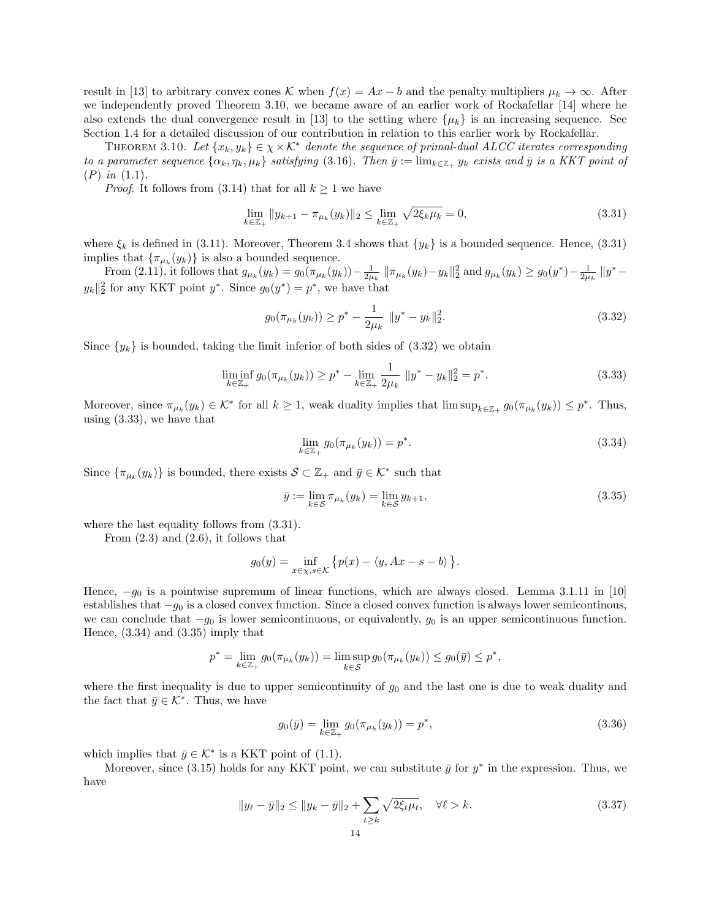result in [13] to arbitrary convex cones K when  $f(x) = Ax - b$  and the penalty multipliers  $\mu_k \to \infty$ . After we independently proved Theorem 3.10, we became aware of an earlier work of Rockafellar [14] where he also extends the dual convergence result in [13] to the setting where  $\{\mu_k\}$  is an increasing sequence. See Section 1.4 for a detailed discussion of our contribution in relation to this earlier work by Rockafellar.

THEOREM 3.10. Let  ${x_k, y_k} \in \chi \times \mathcal{K}^*$  denote the sequence of primal-dual ALCC iterates corresponding to a parameter sequence  $\{\alpha_k, \eta_k, \mu_k\}$  satisfying (3.16). Then  $\bar{y} := \lim_{k \in \mathbb{Z}_+} y_k$  exists and  $\bar{y}$  is a KKT point of  $(P)$  in  $(1.1)$ .

*Proof.* It follows from (3.14) that for all  $k \geq 1$  we have

$$
\lim_{k \in \mathbb{Z}_+} \|y_{k+1} - \pi_{\mu_k}(y_k)\|_2 \le \lim_{k \in \mathbb{Z}_+} \sqrt{2\xi_k \mu_k} = 0,
$$
\n(3.31)

where  $\xi_k$  is defined in (3.11). Moreover, Theorem 3.4 shows that  $\{y_k\}$  is a bounded sequence. Hence, (3.31) implies that  $\{\pi_{\mu_k}(y_k)\}\)$  is also a bounded sequence.

From (2.11), it follows that  $g_{\mu_k}(y_k) = g_0(\pi_{\mu_k}(y_k)) - \frac{1}{2\mu_k} \|\pi_{\mu_k}(y_k) - y_k\|_2^2$  and  $g_{\mu_k}(y_k) \ge g_0(y^*) - \frac{1}{2\mu_k} \|y^* - y_k\|_2^2$  $y_k \parallel_2^2$  for any KKT point  $y^*$ . Since  $g_0(y^*) = p^*$ , we have that

$$
g_0(\pi_{\mu_k}(y_k)) \ge p^* - \frac{1}{2\mu_k} \|y^* - y_k\|_2^2.
$$
\n(3.32)

Since  $\{y_k\}$  is bounded, taking the limit inferior of both sides of (3.32) we obtain

$$
\liminf_{k \in \mathbb{Z}_+} g_0(\pi_{\mu_k}(y_k)) \ge p^* - \lim_{k \in \mathbb{Z}_+} \frac{1}{2\mu_k} \|y^* - y_k\|_2^2 = p^*.
$$
\n(3.33)

Moreover, since  $\pi_{\mu_k}(y_k) \in \mathcal{K}^*$  for all  $k \geq 1$ , weak duality implies that  $\limsup_{k \in \mathbb{Z}_+} g_0(\pi_{\mu_k}(y_k)) \leq p^*$ . Thus, using (3.33), we have that

$$
\lim_{k \in \mathbb{Z}_+} g_0(\pi_{\mu_k}(y_k)) = p^*.
$$
\n(3.34)

Since  $\{\pi_{\mu_k}(y_k)\}\$ is bounded, there exists  $\mathcal{S} \subset \mathbb{Z}_+$  and  $\bar{y} \in \mathcal{K}^*$  such that

$$
\bar{y} := \lim_{k \in S} \pi_{\mu_k}(y_k) = \lim_{k \in S} y_{k+1},
$$
\n(3.35)

where the last equality follows from  $(3.31)$ .

From  $(2.3)$  and  $(2.6)$ , it follows that

$$
g_0(y) = \inf_{x \in \chi, s \in \mathcal{K}} \{ p(x) - \langle y, Ax - s - b \rangle \}.
$$

Hence,  $-g_0$  is a pointwise supremum of linear functions, which are always closed. Lemma 3.1.11 in [10] establishes that  $-g_0$  is a closed convex function. Since a closed convex function is always lower semicontinous, we can conclude that  $-g_0$  is lower semicontinuous, or equivalently,  $g_0$  is an upper semicontinuous function. Hence, (3.34) and (3.35) imply that

$$
p^* = \lim_{k \in \mathbb{Z}_+} g_0(\pi_{\mu_k}(y_k)) = \limsup_{k \in \mathcal{S}} g_0(\pi_{\mu_k}(y_k)) \le g_0(\bar{y}) \le p^*,
$$

where the first inequality is due to upper semicontinuity of  $g_0$  and the last one is due to weak duality and the fact that  $\bar{y} \in \mathcal{K}^*$ . Thus, we have

$$
g_0(\bar{y}) = \lim_{k \in \mathbb{Z}_+} g_0(\pi_{\mu_k}(y_k)) = p^*,
$$
\n(3.36)

which implies that  $\bar{y} \in \mathcal{K}^*$  is a KKT point of (1.1).

Moreover, since (3.15) holds for any KKT point, we can substitute  $\bar{y}$  for  $y^*$  in the expression. Thus, we have

$$
||y_{\ell} - \bar{y}||_2 \le ||y_k - \bar{y}||_2 + \sum_{t \ge k} \sqrt{2\xi_t \mu_t}, \quad \forall \ell > k.
$$
 (3.37)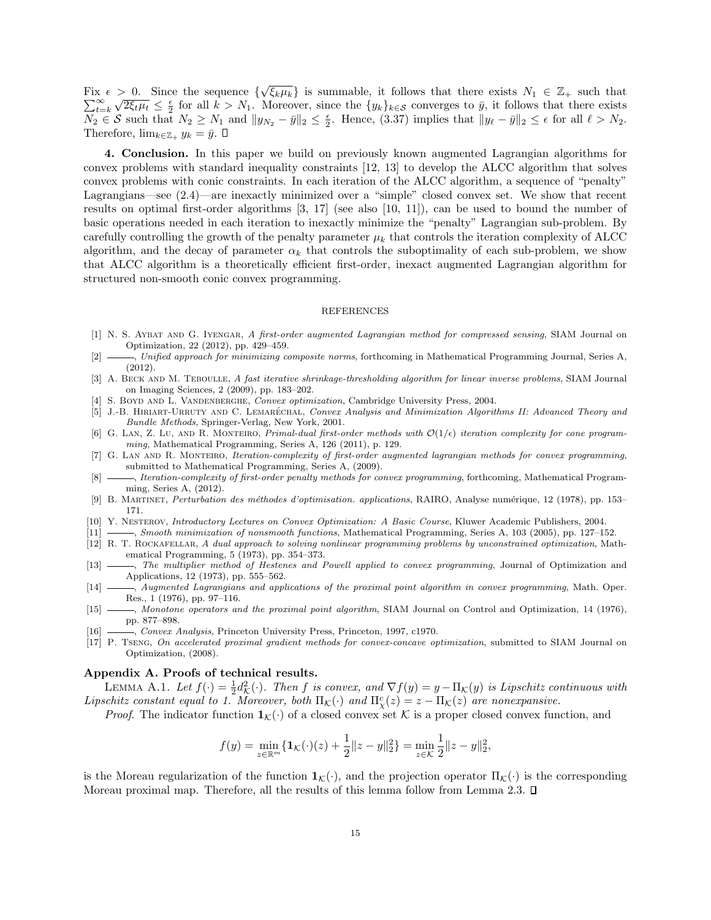Fix  $\epsilon > 0$ . Since the sequence  $\{\sqrt{\xi_k \mu_k}\}\$ is summable, it follows that there exists  $N_1 \in \mathbb{Z}_+$  such that  $\sum_{t=1}^{\infty}$  $_{t=k}$  $\sqrt{2\xi_t\mu_t} \leq \frac{\varepsilon}{2}$  for all  $k > N_1$ . Moreover, since the  $\{y_k\}_{k \in \mathcal{S}}$  converges to  $\bar{y}$ , it follows that there exists  $\sqrt{2\xi_t\mu_t} \leq \frac{\varepsilon}{2}$  for all  $k > N_1$ . Moreover, since the  $\{y_k\}_{k \in \mathcal{S}}$  converge  $\overline{N_2} \in \mathcal{S}$  such that  $N_2 \ge N_1$  and  $||y_{N_2} - \bar{y}||_2 \le \frac{\epsilon}{2}$ . Hence, (3.37) implies that  $||y_{\ell} - \bar{y}||_2 \le \epsilon$  for all  $\ell > N_2$ . Therefore,  $\lim_{k\in\mathbb{Z}_+} y_k = \bar{y}$ .  $\square$ 

4. Conclusion. In this paper we build on previously known augmented Lagrangian algorithms for convex problems with standard inequality constraints [12, 13] to develop the ALCC algorithm that solves convex problems with conic constraints. In each iteration of the ALCC algorithm, a sequence of "penalty" Lagrangians—see (2.4)—are inexactly minimized over a "simple" closed convex set. We show that recent results on optimal first-order algorithms [3, 17] (see also [10, 11]), can be used to bound the number of basic operations needed in each iteration to inexactly minimize the "penalty" Lagrangian sub-problem. By carefully controlling the growth of the penalty parameter  $\mu_k$  that controls the iteration complexity of ALCC algorithm, and the decay of parameter  $\alpha_k$  that controls the suboptimality of each sub-problem, we show that ALCC algorithm is a theoretically efficient first-order, inexact augmented Lagrangian algorithm for structured non-smooth conic convex programming.

#### REFERENCES

- [1] N. S. AYBAT AND G. IYENGAR, A first-order augmented Lagrangian method for compressed sensing, SIAM Journal on Optimization, 22 (2012), pp. 429–459.
- [2] , Unified approach for minimizing composite norms, forthcoming in Mathematical Programming Journal, Series A, (2012).
- [3] A. BECK AND M. TEBOULLE, A fast iterative shrinkage-thresholding algorithm for linear inverse problems, SIAM Journal on Imaging Sciences, 2 (2009), pp. 183–202.
- [4] S. BOYD AND L. VANDENBERGHE, Convex optimization, Cambridge University Press, 2004.
- [5] J.-B. HIRIART-URRUTY AND C. LEMARÉCHAL, Convex Analysis and Minimization Algorithms II: Advanced Theory and Bundle Methods, Springer-Verlag, New York, 2001.
- [6] G. LAN, Z. Lu, AND R. MONTEIRO, *Primal-dual first-order methods with*  $\mathcal{O}(1/\epsilon)$  *iteration complexity for cone program*ming, Mathematical Programming, Series A, 126 (2011), p. 129.
- [7] G. LAN AND R. MONTEIRO, Iteration-complexity of first-order augmented lagrangian methods for convex programming, submitted to Mathematical Programming, Series A, (2009).
- [8]  $\_\_\_\_\$ neration-complexity of first-order penalty methods for convex programming, forthcoming, Mathematical Programming, Series A, (2012).
- [9] B. MARTINET, Perturbation des méthodes d'optimisation. applications, RAIRO, Analyse numérique, 12 (1978), pp. 153– 171.
- [10] Y. NESTEROV, *Introductory Lectures on Convex Optimization: A Basic Course*, Kluwer Academic Publishers, 2004.
- [11] , Smooth minimization of nonsmooth functions, Mathematical Programming, Series A, 103 (2005), pp. 127–152. [12] R. T. ROCKAFELLAR, A dual approach to solving nonlinear programming problems by unconstrained optimization, Mathematical Programming, 5 (1973), pp. 354–373.
- [13]  $\_\_\_\_\_\_\_\$  The multiplier method of Hestenes and Powell applied to convex programming, Journal of Optimization and Applications, 12 (1973), pp. 555–562.
- [14]  $\_\_\_\$ , Augmented Lagrangians and applications of the proximal point algorithm in convex programming, Math. Oper. Res., 1 (1976), pp. 97–116.
- [15] , Monotone operators and the proximal point algorithm, SIAM Journal on Control and Optimization, 14 (1976), pp. 877–898.
- [16] , Convex Analysis, Princeton University Press, Princeton, 1997, c1970.
- [17] P. Tseng, On accelerated proximal gradient methods for convex-concave optimization, submitted to SIAM Journal on Optimization, (2008).

### Appendix A. Proofs of technical results.

LEMMA A.1. Let  $f(\cdot) = \frac{1}{2}d_{\mathcal{K}}^2(\cdot)$ . Then f is convex, and  $\nabla f(y) = y - \Pi_{\mathcal{K}}(y)$  is Lipschitz continuous with Lipschitz constant equal to 1. Moreover, both  $\Pi_{\mathcal{K}}(\cdot)$  and  $\Pi_{\chi}^c(z) = z - \Pi_{\mathcal{K}}(z)$  are nonexpansive.

*Proof.* The indicator function  $\mathbf{1}_{\mathcal{K}}(\cdot)$  of a closed convex set K is a proper closed convex function, and

$$
f(y) = \min_{z \in \mathbb{R}^m} \{ \mathbf{1}_{\mathcal{K}}(\cdot)(z) + \frac{1}{2} ||z - y||_2^2 \} = \min_{z \in \mathcal{K}} \frac{1}{2} ||z - y||_2^2,
$$

is the Moreau regularization of the function  $\mathbf{1}_{\mathcal{K}}(\cdot)$ , and the projection operator  $\Pi_{\mathcal{K}}(\cdot)$  is the corresponding Moreau proximal map. Therefore, all the results of this lemma follow from Lemma 2.3.  $\Box$